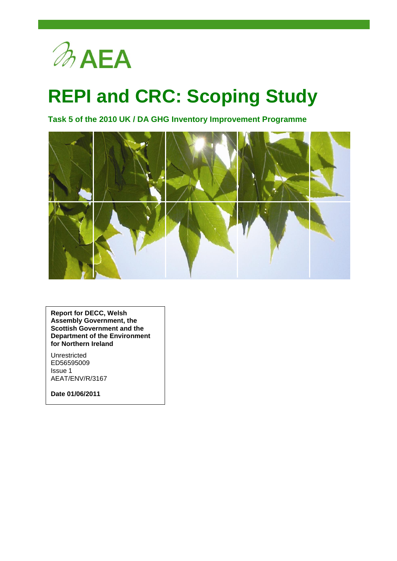

# **REPI and CRC: Scoping Study**

**Task 5 of the 2010 UK / DA GHG Inventory Improvement Programme**



**Report for DECC, Welsh Assembly Government, the Scottish Government and the Department of the Environment for Northern Ireland**

Unrestricted ED56595009 Issue 1 AEAT/ENV/R/3167

**Date 01/06/2011**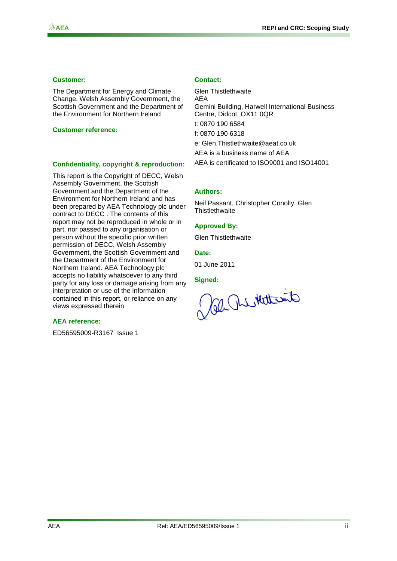#### **Customer: Contact:**

The Department for Energy and Climate Change, Welsh Assembly Government, the Scottish Government and the Department of the Environment for Northern Ireland

#### **Customer reference:**

#### **Confidentiality, copyright & reproduction:**

This report is the Copyright of DECC, Welsh Assembly Government, the Scottish Government and the Department of the Environment for Northern Ireland and has been prepared by AEA Technology plc under contract to DECC . The contents of this report may not be reproduced in whole or in part, nor passed to any organisation or person without the specific prior written permission of DECC, Welsh Assembly Government, the Scottish Government and the Department of the Environment for Northern Ireland. AEA Technology plc accepts no liability whatsoever to any third party for any loss or damage arising from any interpretation or use of the information contained in this report, or reliance on any views expressed therein

#### **AEA reference:**

ED56595009-R3167 Issue 1

Glen Thistlethwaite AEA Gemini Building, Harwell International Business Centre, Didcot, OX11 0QR t: 0870 190 6584 f: 0870 190 6318 e: [Glen.Thistlethwaite@aeat.co.uk](mailto:Glen.Thistlethwaite@aeat.co.uk) AEA is a business name of AEA AEA is certificated to ISO9001 and ISO14001

#### **Authors:**

Neil Passant, Christopher Conolly, Glen **Thistlethwaite** 

#### **Approved By:**

Glen Thistlethwaite

#### **Date:**

01 June 2011

Signed:<br>Cal As Kettesite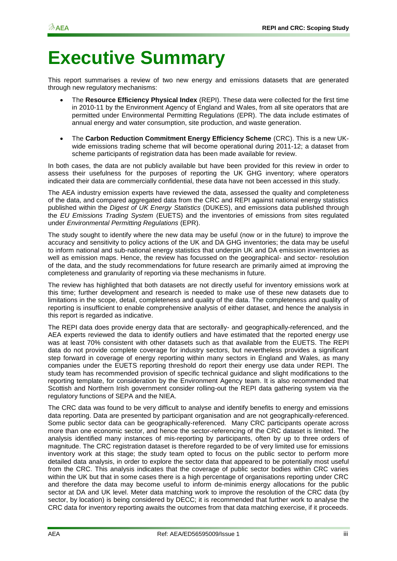# **Executive Summary**

This report summarises a review of two new energy and emissions datasets that are generated through new regulatory mechanisms:

- The **Resource Efficiency Physical Index** (REPI). These data were collected for the first time in 2010-11 by the Environment Agency of England and Wales, from all site operators that are permitted under Environmental Permitting Regulations (EPR). The data include estimates of annual energy and water consumption, site production, and waste generation.
- The **Carbon Reduction Commitment Energy Efficiency Scheme** (CRC). This is a new UKwide emissions trading scheme that will become operational during 2011-12; a dataset from scheme participants of registration data has been made available for review.

In both cases, the data are not publicly available but have been provided for this review in order to assess their usefulness for the purposes of reporting the UK GHG inventory; where operators indicated their data are commercially confidential, these data have not been accessed in this study.

The AEA industry emission experts have reviewed the data, assessed the quality and completeness of the data, and compared aggregated data from the CRC and REPI against national energy statistics published within the *Digest of UK Energy Statistics* (DUKES), and emissions data published through the *EU Emissions Trading System* (EUETS) and the inventories of emissions from sites regulated under *Environmental Permitting Regulations* (EPR).

The study sought to identify where the new data may be useful (now or in the future) to improve the accuracy and sensitivity to policy actions of the UK and DA GHG inventories; the data may be useful to inform national and sub-national energy statistics that underpin UK and DA emission inventories as well as emission maps. Hence, the review has focussed on the geographical- and sector- resolution of the data, and the study recommendations for future research are primarily aimed at improving the completeness and granularity of reporting via these mechanisms in future.

The review has highlighted that both datasets are not directly useful for inventory emissions work at this time; further development and research is needed to make use of these new datasets due to limitations in the scope, detail, completeness and quality of the data. The completeness and quality of reporting is insufficient to enable comprehensive analysis of either dataset, and hence the analysis in this report is regarded as indicative.

The REPI data does provide energy data that are sectorally- and geographically-referenced, and the AEA experts reviewed the data to identify outliers and have estimated that the reported energy use was at least 70% consistent with other datasets such as that available from the EUETS. The REPI data do not provide complete coverage for industry sectors, but nevertheless provides a significant step forward in coverage of energy reporting within many sectors in England and Wales, as many companies under the EUETS reporting threshold do report their energy use data under REPI. The study team has recommended provision of specific technical guidance and slight modifications to the reporting template, for consideration by the Environment Agency team. It is also recommended that Scottish and Northern Irish government consider rolling-out the REPI data gathering system via the regulatory functions of SEPA and the NIEA.

The CRC data was found to be very difficult to analyse and identify benefits to energy and emissions data reporting. Data are presented by participant organisation and are not geographically-referenced. Some public sector data can be geographically-referenced. Many CRC participants operate across more than one economic sector, and hence the sector-referencing of the CRC dataset is limited. The analysis identified many instances of mis-reporting by participants, often by up to three orders of magnitude. The CRC registration dataset is therefore regarded to be of very limited use for emissions inventory work at this stage; the study team opted to focus on the public sector to perform more detailed data analysis, in order to explore the sector data that appeared to be potentially most useful from the CRC. This analysis indicates that the coverage of public sector bodies within CRC varies within the UK but that in some cases there is a high percentage of organisations reporting under CRC and therefore the data may become useful to inform de-minimis energy allocations for the public sector at DA and UK level. Meter data matching work to improve the resolution of the CRC data (by sector, by location) is being considered by DECC; it is recommended that further work to analyse the CRC data for inventory reporting awaits the outcomes from that data matching exercise, if it proceeds.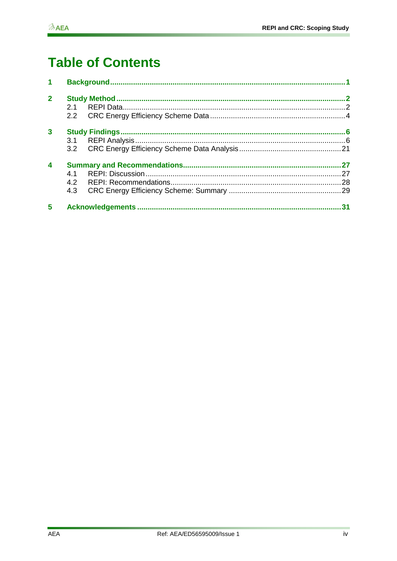# **Table of Contents**

| 1                |               |  |    |  |  |  |
|------------------|---------------|--|----|--|--|--|
| $\overline{2}$   |               |  |    |  |  |  |
|                  | 21            |  |    |  |  |  |
|                  | $2.2^{\circ}$ |  |    |  |  |  |
| 3                |               |  |    |  |  |  |
|                  |               |  |    |  |  |  |
|                  |               |  |    |  |  |  |
| $\boldsymbol{4}$ |               |  |    |  |  |  |
|                  | 4.1           |  |    |  |  |  |
|                  | 4.2           |  |    |  |  |  |
|                  | 4.3           |  |    |  |  |  |
| 5                |               |  | 31 |  |  |  |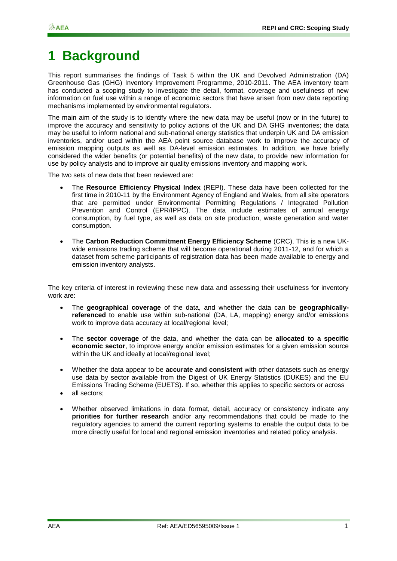# <span id="page-4-0"></span>**1 Background**

This report summarises the findings of Task 5 within the UK and Devolved Administration (DA) Greenhouse Gas (GHG) Inventory Improvement Programme, 2010-2011. The AEA inventory team has conducted a scoping study to investigate the detail, format, coverage and usefulness of new information on fuel use within a range of economic sectors that have arisen from new data reporting mechanisms implemented by environmental regulators.

The main aim of the study is to identify where the new data may be useful (now or in the future) to improve the accuracy and sensitivity to policy actions of the UK and DA GHG inventories; the data may be useful to inform national and sub-national energy statistics that underpin UK and DA emission inventories, and/or used within the AEA point source database work to improve the accuracy of emission mapping outputs as well as DA-level emission estimates. In addition, we have briefly considered the wider benefits (or potential benefits) of the new data, to provide new information for use by policy analysts and to improve air quality emissions inventory and mapping work.

The two sets of new data that been reviewed are:

- The **Resource Efficiency Physical Index** (REPI). These data have been collected for the first time in 2010-11 by the Environment Agency of England and Wales, from all site operators that are permitted under Environmental Permitting Regulations / Integrated Pollution Prevention and Control (EPR/IPPC). The data include estimates of annual energy consumption, by fuel type, as well as data on site production, waste generation and water consumption.
- The **Carbon Reduction Commitment Energy Efficiency Scheme** (CRC). This is a new UKwide emissions trading scheme that will become operational during 2011-12, and for which a dataset from scheme participants of registration data has been made available to energy and emission inventory analysts.

The key criteria of interest in reviewing these new data and assessing their usefulness for inventory work are:

- The **geographical coverage** of the data, and whether the data can be **geographicallyreferenced** to enable use within sub-national (DA, LA, mapping) energy and/or emissions work to improve data accuracy at local/regional level;
- The **sector coverage** of the data, and whether the data can be **allocated to a specific economic sector**, to improve energy and/or emission estimates for a given emission source within the UK and ideally at local/regional level;
- Whether the data appear to be **accurate and consistent** with other datasets such as energy use data by sector available from the Digest of UK Energy Statistics (DUKES) and the EU Emissions Trading Scheme (EUETS). If so, whether this applies to specific sectors or across
- all sectors;
- Whether observed limitations in data format, detail, accuracy or consistency indicate any **priorities for further research** and/or any recommendations that could be made to the regulatory agencies to amend the current reporting systems to enable the output data to be more directly useful for local and regional emission inventories and related policy analysis.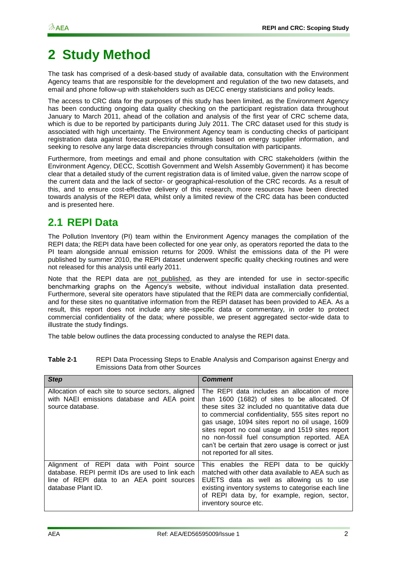# <span id="page-5-0"></span>**2 Study Method**

The task has comprised of a desk-based study of available data, consultation with the Environment Agency teams that are responsible for the development and regulation of the two new datasets, and email and phone follow-up with stakeholders such as DECC energy statisticians and policy leads.

The access to CRC data for the purposes of this study has been limited, as the Environment Agency has been conducting ongoing data quality checking on the participant registration data throughout January to March 2011, ahead of the collation and analysis of the first year of CRC scheme data, which is due to be reported by participants during July 2011. The CRC dataset used for this study is associated with high uncertainty. The Environment Agency team is conducting checks of participant registration data against forecast electricity estimates based on energy supplier information, and seeking to resolve any large data discrepancies through consultation with participants.

Furthermore, from meetings and email and phone consultation with CRC stakeholders (within the Environment Agency, DECC, Scottish Government and Welsh Assembly Government) it has become clear that a detailed study of the current registration data is of limited value, given the narrow scope of the current data and the lack of sector- or geographical-resolution of the CRC records. As a result of this, and to ensure cost-effective delivery of this research, more resources have been directed towards analysis of the REPI data, whilst only a limited review of the CRC data has been conducted and is presented here.

### <span id="page-5-1"></span>**2.1 REPI Data**

The Pollution Inventory (PI) team within the Environment Agency manages the compilation of the REPI data; the REPI data have been collected for one year only, as operators reported the data to the PI team alongside annual emission returns for 2009. Whilst the emissions data of the PI were published by summer 2010, the REPI dataset underwent specific quality checking routines and were not released for this analysis until early 2011.

Note that the REPI data are not published, as they are intended for use in sector-specific benchmarking graphs on the Agency"s website, without individual installation data presented. Furthermore, several site operators have stipulated that the REPI data are commercially confidential, and for these sites no quantitative information from the REPI dataset has been provided to AEA. As a result, this report does not include any site-specific data or commentary, in order to protect commercial confidentiality of the data; where possible, we present aggregated sector-wide data to illustrate the study findings.

The table below outlines the data processing conducted to analyse the REPI data.

| <b>Step</b>                                                                                                                                                    | <b>Comment</b>                                                                                                                                                                                                                                                                                                                                                                                                                                       |
|----------------------------------------------------------------------------------------------------------------------------------------------------------------|------------------------------------------------------------------------------------------------------------------------------------------------------------------------------------------------------------------------------------------------------------------------------------------------------------------------------------------------------------------------------------------------------------------------------------------------------|
| Allocation of each site to source sectors, aligned<br>with NAEI emissions database and AEA point<br>source database.                                           | The REPI data includes an allocation of more<br>than 1600 (1682) of sites to be allocated. Of<br>these sites 32 included no quantitative data due<br>to commercial confidentiality, 555 sites report no<br>gas usage, 1094 sites report no oil usage, 1609<br>sites report no coal usage and 1519 sites report<br>no non-fossil fuel consumption reported. AEA<br>can't be certain that zero usage is correct or just<br>not reported for all sites. |
| Alignment of REPI data with Point source<br>database. REPI permit IDs are used to link each<br>line of REPI data to an AEA point sources<br>database Plant ID. | This enables the REPI data to be quickly<br>matched with other data available to AEA such as<br>EUETS data as well as allowing us to use<br>existing inventory systems to categorise each line<br>of REPI data by, for example, region, sector,<br>inventory source etc.                                                                                                                                                                             |

#### **Table 2-1** REPI Data Processing Steps to Enable Analysis and Comparison against Energy and Emissions Data from other Sources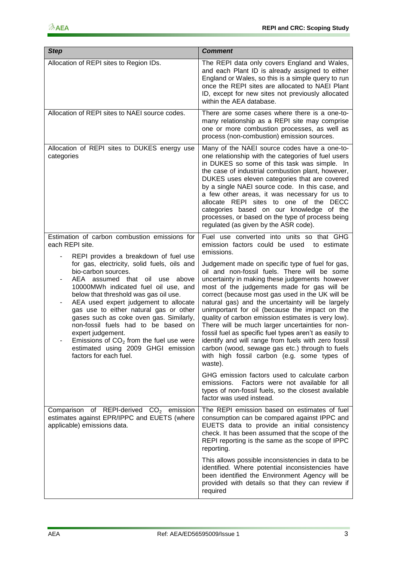| <b>Step</b>                                                                                                                                                                                                                                                                                                                                                                                                                                                                                                                              | <b>Comment</b>                                                                                                                                                                                                                                                                                                                                                                                                                                                                                                                                                                                                                                                                                      |
|------------------------------------------------------------------------------------------------------------------------------------------------------------------------------------------------------------------------------------------------------------------------------------------------------------------------------------------------------------------------------------------------------------------------------------------------------------------------------------------------------------------------------------------|-----------------------------------------------------------------------------------------------------------------------------------------------------------------------------------------------------------------------------------------------------------------------------------------------------------------------------------------------------------------------------------------------------------------------------------------------------------------------------------------------------------------------------------------------------------------------------------------------------------------------------------------------------------------------------------------------------|
| Allocation of REPI sites to Region IDs.                                                                                                                                                                                                                                                                                                                                                                                                                                                                                                  | The REPI data only covers England and Wales,<br>and each Plant ID is already assigned to either<br>England or Wales, so this is a simple query to run<br>once the REPI sites are allocated to NAEI Plant<br>ID, except for new sites not previously allocated<br>within the AEA database.                                                                                                                                                                                                                                                                                                                                                                                                           |
| Allocation of REPI sites to NAEI source codes.                                                                                                                                                                                                                                                                                                                                                                                                                                                                                           | There are some cases where there is a one-to-<br>many relationship as a REPI site may comprise<br>one or more combustion processes, as well as<br>process (non-combustion) emission sources.                                                                                                                                                                                                                                                                                                                                                                                                                                                                                                        |
| Allocation of REPI sites to DUKES energy use<br>categories                                                                                                                                                                                                                                                                                                                                                                                                                                                                               | Many of the NAEI source codes have a one-to-<br>one relationship with the categories of fuel users<br>in DUKES so some of this task was simple. In<br>the case of industrial combustion plant, however,<br>DUKES uses eleven categories that are covered<br>by a single NAEI source code. In this case, and<br>a few other areas, it was necessary for us to<br>allocate REPI sites to one of the DECC<br>categories based on our knowledge of the<br>processes, or based on the type of process being<br>regulated (as given by the ASR code).                                                                                                                                                     |
| Estimation of carbon combustion emissions for<br>each REPI site.                                                                                                                                                                                                                                                                                                                                                                                                                                                                         | Fuel use converted into units so that GHG<br>emission factors could be used<br>to estimate<br>emissions.                                                                                                                                                                                                                                                                                                                                                                                                                                                                                                                                                                                            |
| REPI provides a breakdown of fuel use<br>for gas, electricity, solid fuels, oils and<br>bio-carbon sources.<br>AEA assumed that oil use<br>above<br>10000MWh indicated fuel oil use, and<br>below that threshold was gas oil use.<br>AEA used expert judgement to allocate<br>gas use to either natural gas or other<br>gases such as coke oven gas. Similarly,<br>non-fossil fuels had to be based on<br>expert judgement.<br>Emissions of $CO2$ from the fuel use were<br>estimated using 2009 GHGI emission<br>factors for each fuel. | Judgement made on specific type of fuel for gas,<br>oil and non-fossil fuels. There will be some<br>uncertainty in making these judgements however<br>most of the judgements made for gas will be<br>correct (because most gas used in the UK will be<br>natural gas) and the uncertainty will be largely<br>unimportant for oil (because the impact on the<br>quality of carbon emission estimates is very low).<br>There will be much larger uncertainties for non-<br>fossil fuel as specific fuel types aren't as easily to<br>identify and will range from fuels with zero fossil<br>carbon (wood, sewage gas etc.) through to fuels<br>with high fossil carbon (e.g. some types of<br>waste). |
|                                                                                                                                                                                                                                                                                                                                                                                                                                                                                                                                          | GHG emission factors used to calculate carbon<br>Factors were not available for all<br>emissions.<br>types of non-fossil fuels, so the closest available<br>factor was used instead.                                                                                                                                                                                                                                                                                                                                                                                                                                                                                                                |
| Comparison of REPI-derived $CO2$ emission<br>estimates against EPR/IPPC and EUETS (where<br>applicable) emissions data.                                                                                                                                                                                                                                                                                                                                                                                                                  | The REPI emission based on estimates of fuel<br>consumption can be compared against IPPC and<br>EUETS data to provide an initial consistency<br>check. It has been assumed that the scope of the<br>REPI reporting is the same as the scope of IPPC<br>reporting.                                                                                                                                                                                                                                                                                                                                                                                                                                   |
|                                                                                                                                                                                                                                                                                                                                                                                                                                                                                                                                          | This allows possible inconsistencies in data to be<br>identified. Where potential inconsistencies have<br>been identified the Environment Agency will be<br>provided with details so that they can review if<br>required                                                                                                                                                                                                                                                                                                                                                                                                                                                                            |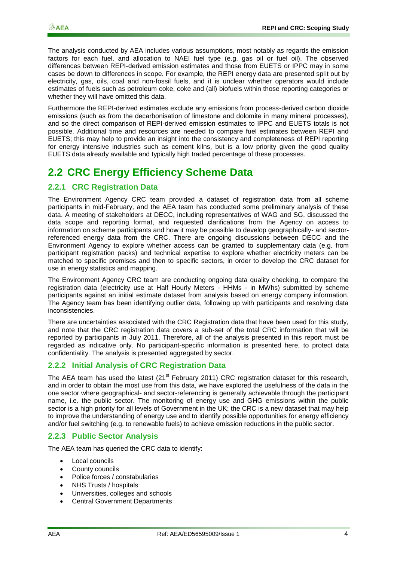The analysis conducted by AEA includes various assumptions, most notably as regards the emission factors for each fuel, and allocation to NAEI fuel type (e.g. gas oil or fuel oil). The observed differences between REPI-derived emission estimates and those from EUETS or IPPC may in some cases be down to differences in scope. For example, the REPI energy data are presented split out by electricity, gas, oils, coal and non-fossil fuels, and it is unclear whether operators would include estimates of fuels such as petroleum coke, coke and (all) biofuels within those reporting categories or whether they will have omitted this data.

Furthermore the REPI-derived estimates exclude any emissions from process-derived carbon dioxide emissions (such as from the decarbonisation of limestone and dolomite in many mineral processes), and so the direct comparison of REPI-derived emission estimates to IPPC and EUETS totals is not possible. Additional time and resources are needed to compare fuel estimates between REPI and EUETS; this may help to provide an insight into the consistency and completeness of REPI reporting for energy intensive industries such as cement kilns, but is a low priority given the good quality EUETS data already available and typically high traded percentage of these processes.

## <span id="page-7-0"></span>**2.2 CRC Energy Efficiency Scheme Data**

### **2.2.1 CRC Registration Data**

The Environment Agency CRC team provided a dataset of registration data from all scheme participants in mid-February, and the AEA team has conducted some preliminary analysis of these data. A meeting of stakeholders at DECC, including representatives of WAG and SG, discussed the data scope and reporting format, and requested clarifications from the Agency on access to information on scheme participants and how it may be possible to develop geographically- and sectorreferenced energy data from the CRC. There are ongoing discussions between DECC and the Environment Agency to explore whether access can be granted to supplementary data (e.g. from participant registration packs) and technical expertise to explore whether electricity meters can be matched to specific premises and then to specific sectors, in order to develop the CRC dataset for use in energy statistics and mapping.

The Environment Agency CRC team are conducting ongoing data quality checking, to compare the registration data (electricity use at Half Hourly Meters - HHMs - in MWhs) submitted by scheme participants against an initial estimate dataset from analysis based on energy company information. The Agency team has been identifying outlier data, following up with participants and resolving data inconsistencies.

There are uncertainties associated with the CRC Registration data that have been used for this study, and note that the CRC registration data covers a sub-set of the total CRC information that will be reported by participants in July 2011. Therefore, all of the analysis presented in this report must be regarded as indicative only. No participant-specific information is presented here, to protect data confidentiality. The analysis is presented aggregated by sector.

#### **2.2.2 Initial Analysis of CRC Registration Data**

The AEA team has used the latest  $(21<sup>st</sup>$  February 2011) CRC registration dataset for this research, and in order to obtain the most use from this data, we have explored the usefulness of the data in the one sector where geographical- and sector-referencing is generally achievable through the participant name, i.e. the public sector. The monitoring of energy use and GHG emissions within the public sector is a high priority for all levels of Government in the UK; the CRC is a new dataset that may help to improve the understanding of energy use and to identify possible opportunities for energy efficiency and/or fuel switching (e.g. to renewable fuels) to achieve emission reductions in the public sector.

#### **2.2.3 Public Sector Analysis**

The AEA team has queried the CRC data to identify:

- Local councils
- County councils
- Police forces / constabularies
- NHS Trusts / hospitals
- Universities, colleges and schools
- Central Government Departments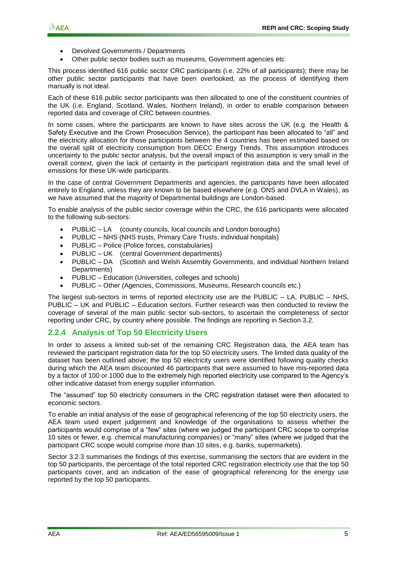- Devolved Governments / Departments
- Other public sector bodies such as museums, Government agencies etc

This process identified 616 public sector CRC participants (i.e. 22% of all participants); there may be other public sector participants that have been overlooked, as the process of identifying them manually is not ideal.

Each of these 616 public sector participants was then allocated to one of the constituent countries of the UK (i.e. England, Scotland, Wales, Northern Ireland), in order to enable comparison between reported data and coverage of CRC between countries.

In some cases, where the participants are known to have sites across the UK (e.g. the Health & Safety Executive and the Crown Prosecution Service), the participant has been allocated to "all" and the electricity allocation for those participants between the 4 countries has been estimated based on the overall split of electricity consumption from DECC Energy Trends. This assumption introduces uncertainty to the public sector analysis, but the overall impact of this assumption is very small in the overall context, given the lack of certainty in the participant registration data and the small level of emissions for these UK-wide participants.

In the case of central Government Departments and agencies, the participants have been allocated entirely to England, unless they are known to be based elsewhere (e.g. ONS and DVLA in Wales), as we have assumed that the majority of Departmental buildings are London-based.

To enable analysis of the public sector coverage within the CRC, the 616 participants were allocated to the following sub-sectors:

- PUBLIC LA (county councils, local councils and London boroughs)
- PUBLIC NHS (NHS trusts, Primary Care Trusts, individual hospitals)
- PUBLIC Police (Police forces, constabularies)
- PUBLIC UK (central Government departments)
- PUBLIC DA (Scottish and Welsh Assembly Governments, and individual Northern Ireland Departments)
- PUBLIC Education (Universities, colleges and schools)
- PUBLIC Other (Agencies, Commissions, Museums, Research councils etc.)

The largest sub-sectors in terms of reported electricity use are the PUBLIC – LA, PUBLIC – NHS, PUBLIC – UK and PUBLIC – Education sectors. Further research was then conducted to review the coverage of several of the main public sector sub-sectors, to ascertain the completeness of sector reporting under CRC, by country where possible. The findings are reporting in Section 3.2.

#### **2.2.4 Analysis of Top 50 Electricity Users**

In order to assess a limited sub-set of the remaining CRC Registration data, the AEA team has reviewed the participant registration data for the top 50 electricity users. The limited data quality of the dataset has been outlined above; the top 50 electricity users were identified following quality checks during which the AEA team discounted 46 participants that were assumed to have mis-reported data by a factor of 100 or 1000 due to the extremely high reported electricity use compared to the Agency"s other indicative dataset from energy supplier information.

The "assumed" top 50 electricity consumers in the CRC registration dataset were then allocated to economic sectors.

To enable an initial analysis of the ease of geographical referencing of the top 50 electricity users, the AEA team used expert judgement and knowledge of the organisations to assess whether the participants would comprise of a "few" sites (where we judged the participant CRC scope to comprise 10 sites or fewer, e.g. chemical manufacturing companies) or "many" sites (where we judged that the participant CRC scope would comprise more than 10 sites, e.g. banks, supermarkets).

Sector 3.2.3 summarises the findings of this exercise, summarising the sectors that are evident in the top 50 participants, the percentage of the total reported CRC registration electricity use that the top 50 participants cover, and an indication of the ease of geographical referencing for the energy use reported by the top 50 participants.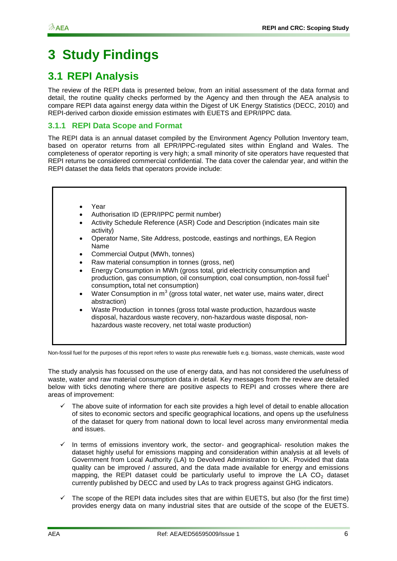# <span id="page-9-0"></span>**3 Study Findings**

## <span id="page-9-1"></span>**3.1 REPI Analysis**

The review of the REPI data is presented below, from an initial assessment of the data format and detail, the routine quality checks performed by the Agency and then through the AEA analysis to compare REPI data against energy data within the Digest of UK Energy Statistics (DECC, 2010) and REPI-derived carbon dioxide emission estimates with EUETS and EPR/IPPC data.

### **3.1.1 REPI Data Scope and Format**

The REPI data is an annual dataset compiled by the Environment Agency Pollution Inventory team, based on operator returns from all EPR/IPPC-regulated sites within England and Wales. The completeness of operator reporting is very high; a small minority of site operators have requested that REPI returns be considered commercial confidential. The data cover the calendar year, and within the REPI dataset the data fields that operators provide include:

- Year
- Authorisation ID (EPR/IPPC permit number)
- Activity Schedule Reference (ASR) Code and Description (indicates main site activity)
- Operator Name, Site Address, postcode, eastings and northings, EA Region Name
- Commercial Output (MWh, tonnes)
- Raw material consumption in tonnes (gross, net)
- Energy Consumption in MWh (gross total, grid electricity consumption and production, gas consumption, oil consumption, coal consumption, non-fossil fuel<sup>1</sup> consumption**,** total net consumption)
- Water Consumption in  $m^3$  (gross total water, net water use, mains water, direct abstraction)
- Waste Production in tonnes (gross total waste production, hazardous waste disposal, hazardous waste recovery, non-hazardous waste disposal, nonhazardous waste recovery, net total waste production)

Non-fossil fuel for the purposes of this report refers to waste plus renewable fuels e.g. biomass, waste chemicals, waste wood

The study analysis has focussed on the use of energy data, and has not considered the usefulness of waste, water and raw material consumption data in detail. Key messages from the review are detailed below with ticks denoting where there are positive aspects to REPI and crosses where there are areas of improvement:

- The above suite of information for each site provides a high level of detail to enable allocation of sites to economic sectors and specific geographical locations, and opens up the usefulness of the dataset for query from national down to local level across many environmental media and issues.
- $\checkmark$  In terms of emissions inventory work, the sector- and geographical- resolution makes the dataset highly useful for emissions mapping and consideration within analysis at all levels of Government from Local Authority (LA) to Devolved Administration to UK. Provided that data quality can be improved / assured, and the data made available for energy and emissions mapping, the REPI dataset could be particularly useful to improve the LA  $CO<sub>2</sub>$  dataset currently published by DECC and used by LAs to track progress against GHG indicators.
- $\checkmark$  The scope of the REPI data includes sites that are within EUETS, but also (for the first time) provides energy data on many industrial sites that are outside of the scope of the EUETS.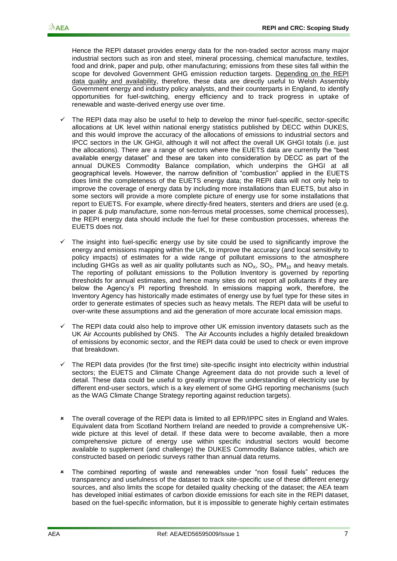Hence the REPI dataset provides energy data for the non-traded sector across many major industrial sectors such as iron and steel, mineral processing, chemical manufacture, textiles, food and drink, paper and pulp, other manufacturing; emissions from these sites fall within the scope for devolved Government GHG emission reduction targets. Depending on the REPI data quality and availability, therefore, these data are directly useful to Welsh Assembly Government energy and industry policy analysts, and their counterparts in England, to identify opportunities for fuel-switching, energy efficiency and to track progress in uptake of renewable and waste-derived energy use over time.

- The REPI data may also be useful to help to develop the minor fuel-specific, sector-specific allocations at UK level within national energy statistics published by DECC within DUKES, and this would improve the accuracy of the allocations of emissions to industrial sectors and IPCC sectors in the UK GHGI, although it will not affect the overall UK GHGI totals (i.e. just the allocations). There are a range of sectors where the EUETS data are currently the "best available energy dataset" and these are taken into consideration by DECC as part of the annual DUKES Commodity Balance compilation, which underpins the GHGI at all geographical levels. However, the narrow definition of "combustion" applied in the EUETS does limit the completeness of the EUETS energy data; the REPI data will not only help to improve the coverage of energy data by including more installations than EUETS, but also in some sectors will provide a more complete picture of energy use for some installations that report to EUETS. For example, where directly-fired heaters, stenters and driers are used (e.g. in paper & pulp manufacture, some non-ferrous metal processes, some chemical processes), the REPI energy data should include the fuel for these combustion processes, whereas the EUETS does not.
- The insight into fuel-specific energy use by site could be used to significantly improve the energy and emissions mapping within the UK, to improve the accuracy (and local sensitivity to policy impacts) of estimates for a wide range of pollutant emissions to the atmosphere including GHGs as well as air quality pollutants such as  $NO<sub>x</sub>$ ,  $SO<sub>2</sub>$ ,  $PM<sub>10</sub>$  and heavy metals. The reporting of pollutant emissions to the Pollution Inventory is governed by reporting thresholds for annual estimates, and hence many sites do not report all pollutants if they are below the Agency"s PI reporting threshold. In emissions mapping work, therefore, the Inventory Agency has historically made estimates of energy use by fuel type for these sites in order to generate estimates of species such as heavy metals. The REPI data will be useful to over-write these assumptions and aid the generation of more accurate local emission maps.
- $\checkmark$  The REPI data could also help to improve other UK emission inventory datasets such as the UK Air Accounts published by ONS. The Air Accounts includes a highly detailed breakdown of emissions by economic sector, and the REPI data could be used to check or even improve that breakdown.
- The REPI data provides (for the first time) site-specific insight into electricity within industrial sectors; the EUETS and Climate Change Agreement data do not provide such a level of detail. These data could be useful to greatly improve the understanding of electricity use by different end-user sectors, which is a key element of some GHG reporting mechanisms (such as the WAG Climate Change Strategy reporting against reduction targets).
- The overall coverage of the REPI data is limited to all EPR/IPPC sites in England and Wales. Equivalent data from Scotland Northern Ireland are needed to provide a comprehensive UKwide picture at this level of detail. If these data were to become available, then a more comprehensive picture of energy use within specific industrial sectors would become available to supplement (and challenge) the DUKES Commodity Balance tables, which are constructed based on periodic surveys rather than annual data returns.
- The combined reporting of waste and renewables under "non fossil fuels" reduces the transparency and usefulness of the dataset to track site-specific use of these different energy sources, and also limits the scope for detailed quality checking of the dataset; the AEA team has developed initial estimates of carbon dioxide emissions for each site in the REPI dataset, based on the fuel-specific information, but it is impossible to generate highly certain estimates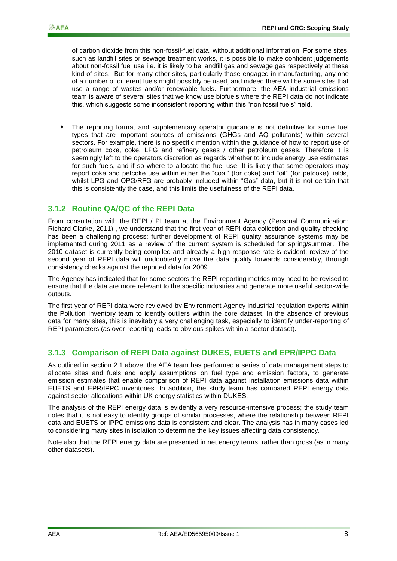of carbon dioxide from this non-fossil-fuel data, without additional information. For some sites, such as landfill sites or sewage treatment works, it is possible to make confident judgements about non-fossil fuel use i.e. it is likely to be landfill gas and sewage gas respectively at these kind of sites. But for many other sites, particularly those engaged in manufacturing, any one of a number of different fuels might possibly be used, and indeed there will be some sites that use a range of wastes and/or renewable fuels. Furthermore, the AEA industrial emissions team is aware of several sites that we know use biofuels where the REPI data do not indicate this, which suggests some inconsistent reporting within this "non fossil fuels" field.

\* The reporting format and supplementary operator guidance is not definitive for some fuel types that are important sources of emissions (GHGs and AQ pollutants) within several sectors. For example, there is no specific mention within the guidance of how to report use of petroleum coke, coke, LPG and refinery gases / other petroleum gases. Therefore it is seemingly left to the operators discretion as regards whether to include energy use estimates for such fuels, and if so where to allocate the fuel use. It is likely that some operators may report coke and petcoke use within either the "coal" (for coke) and "oil" (for petcoke) fields, whilst LPG and OPG/RFG are probably included within "Gas" data, but it is not certain that this is consistently the case, and this limits the usefulness of the REPI data.

#### **3.1.2 Routine QA/QC of the REPI Data**

From consultation with the REPI / PI team at the Environment Agency (Personal Communication: Richard Clarke, 2011) , we understand that the first year of REPI data collection and quality checking has been a challenging process; further development of REPI quality assurance systems may be implemented during 2011 as a review of the current system is scheduled for spring/summer. The 2010 dataset is currently being compiled and already a high response rate is evident; review of the second year of REPI data will undoubtedly move the data quality forwards considerably, through consistency checks against the reported data for 2009.

The Agency has indicated that for some sectors the REPI reporting metrics may need to be revised to ensure that the data are more relevant to the specific industries and generate more useful sector-wide outputs.

The first year of REPI data were reviewed by Environment Agency industrial regulation experts within the Pollution Inventory team to identify outliers within the core dataset. In the absence of previous data for many sites, this is inevitably a very challenging task, especially to identify under-reporting of REPI parameters (as over-reporting leads to obvious spikes within a sector dataset).

#### **3.1.3 Comparison of REPI Data against DUKES, EUETS and EPR/IPPC Data**

As outlined in section 2.1 above, the AEA team has performed a series of data management steps to allocate sites and fuels and apply assumptions on fuel type and emission factors, to generate emission estimates that enable comparison of REPI data against installation emissions data within EUETS and EPR/IPPC inventories. In addition, the study team has compared REPI energy data against sector allocations within UK energy statistics within DUKES.

The analysis of the REPI energy data is evidently a very resource-intensive process; the study team notes that it is not easy to identify groups of similar processes, where the relationship between REPI data and EUETS or IPPC emissions data is consistent and clear. The analysis has in many cases led to considering many sites in isolation to determine the key issues affecting data consistency.

Note also that the REPI energy data are presented in net energy terms, rather than gross (as in many other datasets).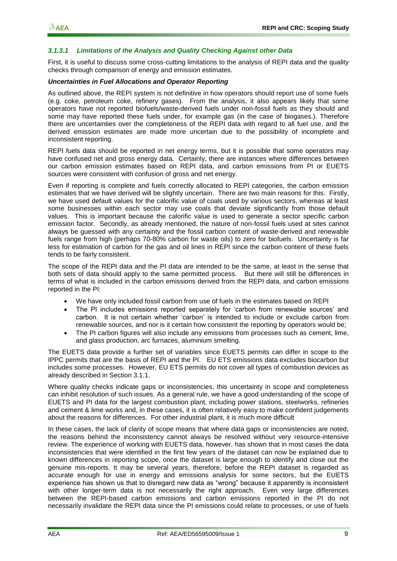#### *3.1.3.1 Limitations of the Analysis and Quality Checking Against other Data*

First, it is useful to discuss some cross-cutting limitations to the analysis of REPI data and the quality checks through comparison of energy and emission estimates.

#### *Uncertainties in Fuel Allocations and Operator Reporting*

As outlined above, the REPI system is not definitive in how operators should report use of some fuels (e.g. coke, petroleum coke, refinery gases). From the analysis, it also appears likely that some operators have not reported biofuels/waste-derived fuels under non-fossil fuels as they should and some may have reported these fuels under, for example gas (in the case of biogases.). Therefore there are uncertainties over the completeness of the REPI data with regard to all fuel use, and the derived emission estimates are made more uncertain due to the possibility of incomplete and inconsistent reporting.

REPI fuels data should be reported in net energy terms, but it is possible that some operators may have confused net and gross energy data. Certainly, there are instances where differences between our carbon emission estimates based on REPI data, and carbon emissions from PI or EUETS sources were consistent with confusion of gross and net energy.

Even if reporting is complete and fuels correctly allocated to REPI categories, the carbon emission estimates that we have derived will be slightly uncertain. There are two main reasons for this. Firstly, we have used default values for the calorific value of coals used by various sectors, whereas at least some businesses within each sector may use coals that deviate significantly from those default values. This is important because the calorific value is used to generate a sector specific carbon emission factor. Secondly, as already mentioned, the nature of non-fossil fuels used at sites cannot always be guessed with any certainty and the fossil carbon content of waste-derived and renewable fuels range from high (perhaps 70-80% carbon for waste oils) to zero for biofuels. Uncertainty is far less for estimation of carbon for the gas and oil lines in REPI since the carbon content of these fuels tends to be fairly consistent.

The scope of the REPI data and the PI data are intended to be the same, at least in the sense that both sets of data should apply to the same permitted process. But there will still be differences in terms of what is included in the carbon emissions derived from the REPI data, and carbon emissions reported in the PI:

- We have only included fossil carbon from use of fuels in the estimates based on REPI
- The PI includes emissions reported separately for "carbon from renewable sources" and carbon. It is not certain whether "carbon" is intended to include or exclude carbon from renewable sources, and nor is it certain how consistent the reporting by operators would be;
- The PI carbon figures will also include any emissions from processes such as cement, lime, and glass production, arc furnaces, aluminium smelting.

The EUETS data provide a further set of variables since EUETS permits can differ in scope to the IPPC permits that are the basis of REPI and the PI. EU ETS emissions data excludes biocarbon but includes some processes. However, EU ETS permits do not cover all types of combustion devices as already described in Section 3.1.1.

Where quality checks indicate gaps or inconsistencies, this uncertainty in scope and completeness can inhibit resolution of such issues. As a general rule, we have a good understanding of the scope of EUETS and PI data for the largest combustion plant, including power stations, steelworks, refineries and cement & lime works and, in these cases, it is often relatively easy to make confident judgements about the reasons for differences. For other industrial plant, it is much more difficult

In these cases, the lack of clarity of scope means that where data gaps or inconsistencies are noted, the reasons behind the inconsistency cannot always be resolved without very resource-intensive review. The experience of working with EUETS data, however, has shown that in most cases the data inconsistencies that were identified in the first few years of the dataset can now be explained due to known differences in reporting scope, once the dataset is large enough to identify and close out the genuine mis-reports. It may be several years, therefore, before the REPI dataset is regarded as accurate enough for use in energy and emissions analysis for some sectors, but the EUETS experience has shown us that to disregard new data as "wrong" because it apparently is inconsistent with other longer-term data is not necessarily the right approach. Even very large differences between the REPI-based carbon emissions and carbon emissions reported in the PI do not necessarily invalidate the REPI data since the PI emissions could relate to processes, or use of fuels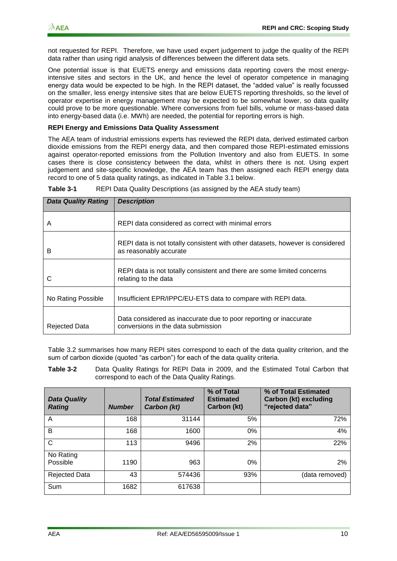not requested for REPI. Therefore, we have used expert judgement to judge the quality of the REPI data rather than using rigid analysis of differences between the different data sets.

One potential issue is that EUETS energy and emissions data reporting covers the most energyintensive sites and sectors in the UK, and hence the level of operator competence in managing energy data would be expected to be high. In the REPI dataset, the "added value" is really focussed on the smaller, less energy intensive sites that are below EUETS reporting thresholds, so the level of operator expertise in energy management may be expected to be somewhat lower, so data quality could prove to be more questionable. Where conversions from fuel bills, volume or mass-based data into energy-based data (i.e. MWh) are needed, the potential for reporting errors is high.

#### **REPI Energy and Emissions Data Quality Assessment**

The AEA team of industrial emissions experts has reviewed the REPI data, derived estimated carbon dioxide emissions from the REPI energy data, and then compared those REPI-estimated emissions against operator-reported emissions from the Pollution Inventory and also from EUETS. In some cases there is close consistency between the data, whilst in others there is not. Using expert judgement and site-specific knowledge, the AEA team has then assigned each REPI energy data record to one of 5 data quality ratings, as indicated in Table 3.1 below.

| <b>Data Quality Rating</b> | <b>Description</b>                                                                                       |
|----------------------------|----------------------------------------------------------------------------------------------------------|
| Α                          | REPI data considered as correct with minimal errors                                                      |
| в                          | REPI data is not totally consistent with other datasets, however is considered<br>as reasonably accurate |
| C                          | REPI data is not totally consistent and there are some limited concerns<br>relating to the data          |
| No Rating Possible         | Insufficient EPR/IPPC/EU-ETS data to compare with REPI data.                                             |
| <b>Rejected Data</b>       | Data considered as inaccurate due to poor reporting or inaccurate<br>conversions in the data submission  |

<span id="page-13-1"></span>**Table 3-1** REPI Data Quality Descriptions (as assigned by the AEA study team)

Table 3.2 summarises how many REPI sites correspond to each of the data quality criterion, and the sum of carbon dioxide (quoted "as carbon") for each of the data quality criteria.

<span id="page-13-0"></span>**Table 3-2** Data Quality Ratings for REPI Data in 2009, and the Estimated Total Carbon that correspond to each of the Data Quality Ratings.

| <b>Data Quality</b><br><b>Rating</b> | <b>Number</b> | <b>Total Estimated</b><br>Carbon (kt) | % of Total<br><b>Estimated</b><br>Carbon (kt) | % of Total Estimated<br>Carbon (kt) excluding<br>"rejected data" |
|--------------------------------------|---------------|---------------------------------------|-----------------------------------------------|------------------------------------------------------------------|
| A                                    | 168           | 31144                                 | 5%                                            | 72%                                                              |
| B                                    | 168           | 1600                                  | $0\%$                                         | 4%                                                               |
| C                                    | 113           | 9496                                  | 2%                                            | 22%                                                              |
| No Rating<br>Possible                | 1190          | 963                                   | 0%                                            | 2%                                                               |
| Rejected Data                        | 43            | 574436                                | 93%                                           | (data removed)                                                   |
| Sum                                  | 1682          | 617638                                |                                               |                                                                  |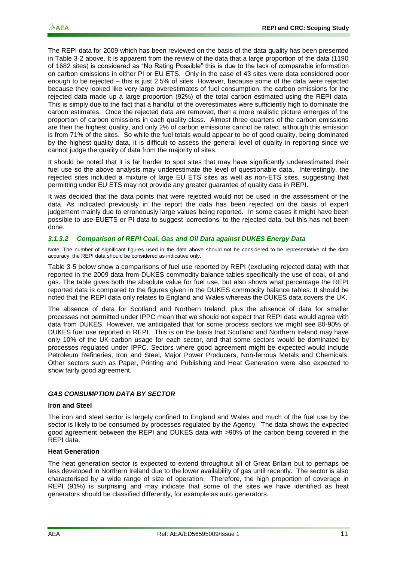The REPI data for 2009 which has been reviewed on the basis of the data quality has been presented in [Table 3-2](#page-13-0) above. It is apparent from the review of the data that a large proportion of the data (1190 of 1682 sites) is considered as "No Rating Possible" this is due to the lack of comparable information on carbon emissions in either PI or EU ETS. Only in the case of 43 sites were data considered poor enough to be rejected – this is just 2.5% of sites. However, because some of the data were rejected because they looked like very large overestimates of fuel consumption, the carbon emissions for the rejected data made up a large proportion (92%) of the total carbon estimated using the REPI data. This is simply due to the fact that a handful of the overestimates were sufficiently high to dominate the carbon estimates. Once the rejected data are removed, then a more realistic picture emerges of the proportion of carbon emissions in each quality class. Almost three quarters of the carbon emissions are then the highest quality, and only 2% of carbon emissions cannot be rated, although this emission is from 71% of the sites. So while the fuel totals would appear to be of good quality, being dominated by the highest quality data, it is difficult to assess the general level of quality in reporting since we cannot judge the quality of data from the majority of sites.

It should be noted that it is far harder to spot sites that may have significantly underestimated their fuel use so the above analysis may underestimate the level of questionable data. Interestingly, the rejected sites included a mixture of large EU ETS sites as well as non-ETS sites, suggesting that permitting under EU ETS may not provide any greater guarantee of quality data in REPI.

It was decided that the data points that were rejected would not be used in the assessment of the data. As indicated previously in the report the data has been rejected on the basis of expert judgement mainly due to erroneously large values being reported. In some cases it might have been possible to use EUETS or PI data to suggest "corrections" to the rejected data, but this has not been done.

#### *3.1.3.2 Comparison of REPI Coal, Gas and Oil Data against DUKES Energy Data*

[Note: The number of significant figures used in the data above should not be considered to be representative of the data](#page-18-0)  [accuracy; the REPI data should be considered as indicative only.](#page-18-0) 

[Table 3-5](#page-18-0) below show a comparisons of fuel use reported by REPI (excluding rejected data) with that reported in the 2009 data from DUKES commodity balance tables specifically the use of coal, oil and gas. The table gives both the absolute value for fuel use, but also shows what percentage the REPI reported data is compared to the figures given in the DUKES commodity balance tables. It should be noted that the REPI data only relates to England and Wales whereas the DUKES data covers the UK.

The absence of data for Scotland and Northern Ireland, plus the absence of data for smaller processes not permitted under IPPC mean that we should not expect that REPI data would agree with data from DUKES. However, we anticipated that for some process sectors we might see 80-90% of DUKES fuel use reported in REPI. This is on the basis that Scotland and Northern Ireland may have only 10% of the UK carbon usage for each sector, and that some sectors would be dominated by processes regulated under IPPC. Sectors where good agreement might be expected would include Petroleum Refineries, Iron and Steel, Major Power Producers, Non-ferrous Metals and Chemicals. Other sectors such as Paper, Printing and Publishing and Heat Generation were also expected to show fairly good agreement.

#### *GAS CONSUMPTION DATA BY SECTOR*

#### **Iron and Steel**

The iron and steel sector is largely confined to England and Wales and much of the fuel use by the sector is likely to be consumed by processes regulated by the Agency. The data shows the expected good agreement between the REPI and DUKES data with >90% of the carbon being covered in the REPI data.

#### **Heat Generation**

The heat generation sector is expected to extend throughout all of Great Britain but to perhaps be less developed in Northern Ireland due to the lower availability of gas until recently. The sector is also characterised by a wide range of size of operation. Therefore, the high proportion of coverage in REPI (91%) is surprising and may indicate that some of the sites we have identified as heat generators should be classified differently, for example as auto generators.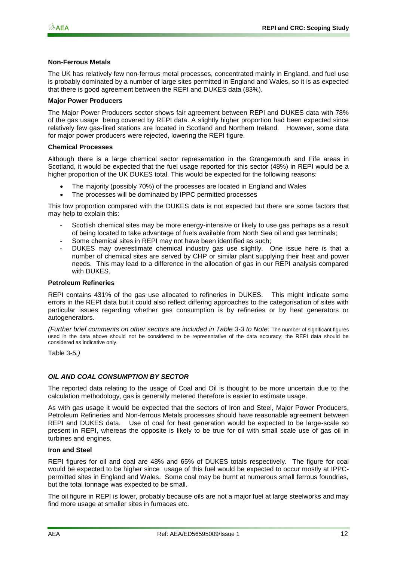#### **Non-Ferrous Metals**

The UK has relatively few non-ferrous metal processes, concentrated mainly in England, and fuel use is probably dominated by a number of large sites permitted in England and Wales, so it is as expected that there is good agreement between the REPI and DUKES data (83%).

#### **Major Power Producers**

The Major Power Producers sector shows fair agreement between REPI and DUKES data with 78% of the gas usage being covered by REPI data. A slightly higher proportion had been expected since relatively few gas-fired stations are located in Scotland and Northern Ireland. However, some data for major power producers were rejected, lowering the REPI figure.

#### **Chemical Processes**

Although there is a large chemical sector representation in the Grangemouth and Fife areas in Scotland, it would be expected that the fuel usage reported for this sector (48%) in REPI would be a higher proportion of the UK DUKES total. This would be expected for the following reasons:

- The majority (possibly 70%) of the processes are located in England and Wales
- The processes will be dominated by IPPC permitted processes

This low proportion compared with the DUKES data is not expected but there are some factors that may help to explain this:

- Scottish chemical sites may be more energy-intensive or likely to use gas perhaps as a result of being located to take advantage of fuels available from North Sea oil and gas terminals;
- Some chemical sites in REPI may not have been identified as such;
- DUKES may overestimate chemical industry gas use slightly. One issue here is that a number of chemical sites are served by CHP or similar plant supplying their heat and power needs. This may lead to a difference in the allocation of gas in our REPI analysis compared with DUKES.

#### **Petroleum Refineries**

REPI contains 431% of the gas use allocated to refineries in DUKES. This might indicate some errors in the REPI data but it could also reflect differing approaches to the categorisation of sites with particular issues regarding whether gas consumption is by refineries or by heat generators or autogenerators.

*(Further brief comments on other sectors are included in [Table 3-3](#page-17-0) to Note:* [The number of significant figures](#page-18-0)  [used in the data above should not be considered to be representative of the data accuracy; the REPI data should be](#page-18-0)  [considered as indicative only.](#page-18-0) 

[Table 3-5](#page-18-0)*.)*

#### *OIL AND COAL CONSUMPTION BY SECTOR*

The reported data relating to the usage of Coal and Oil is thought to be more uncertain due to the calculation methodology, gas is generally metered therefore is easier to estimate usage.

As with gas usage it would be expected that the sectors of Iron and Steel, Major Power Producers, Petroleum Refineries and Non-ferrous Metals processes should have reasonable agreement between REPI and DUKES data. Use of coal for heat generation would be expected to be large-scale so present in REPI, whereas the opposite is likely to be true for oil with small scale use of gas oil in turbines and engines.

#### **Iron and Steel**

REPI figures for oil and coal are 48% and 65% of DUKES totals respectively. The figure for coal would be expected to be higher since usage of this fuel would be expected to occur mostly at IPPCpermitted sites in England and Wales. Some coal may be burnt at numerous small ferrous foundries, but the total tonnage was expected to be small.

The oil figure in REPI is lower, probably because oils are not a major fuel at large steelworks and may find more usage at smaller sites in furnaces etc.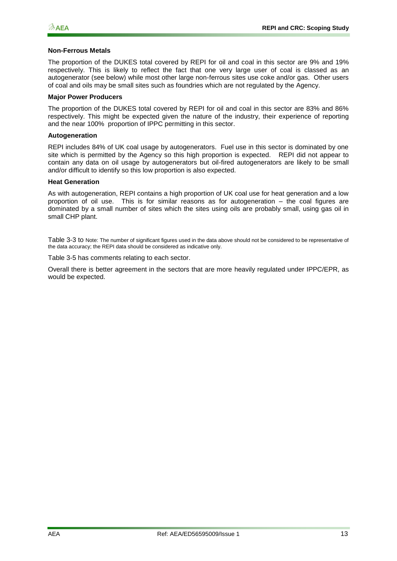#### **Non-Ferrous Metals**

The proportion of the DUKES total covered by REPI for oil and coal in this sector are 9% and 19% respectively. This is likely to reflect the fact that one very large user of coal is classed as an autogenerator (see below) while most other large non-ferrous sites use coke and/or gas. Other users of coal and oils may be small sites such as foundries which are not regulated by the Agency.

#### **Major Power Producers**

The proportion of the DUKES total covered by REPI for oil and coal in this sector are 83% and 86% respectively. This might be expected given the nature of the industry, their experience of reporting and the near 100% proportion of IPPC permitting in this sector.

#### **Autogeneration**

REPI includes 84% of UK coal usage by autogenerators. Fuel use in this sector is dominated by one site which is permitted by the Agency so this high proportion is expected. REPI did not appear to contain any data on oil usage by autogenerators but oil-fired autogenerators are likely to be small and/or difficult to identify so this low proportion is also expected.

#### **Heat Generation**

As with autogeneration, REPI contains a high proportion of UK coal use for heat generation and a low proportion of oil use. This is for similar reasons as for autogeneration – the coal figures are dominated by a small number of sites which the sites using oils are probably small, using gas oil in small CHP plant.

[Table 3-3](#page-17-0) to [Note: The number of significant figures used in the data above should not be considered to be representative of](#page-18-0)  [the data accuracy; the REPI data should be considered as indicative only.](#page-18-0) 

[Table 3-5](#page-18-0) has comments relating to each sector.

Overall there is better agreement in the sectors that are more heavily regulated under IPPC/EPR, as would be expected.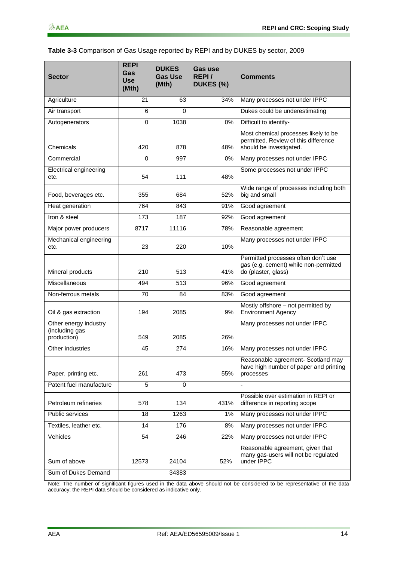#### <span id="page-17-0"></span>**Table 3-3** Comparison of Gas Usage reported by REPI and by DUKES by sector, 2009

| <b>Sector</b>                                          | <b>REPI</b><br>Gas<br><b>Use</b><br>(Mth) | <b>DUKES</b><br><b>Gas Use</b><br>(Mth) | Gas use<br>REPI/<br>DUKES (%) | <b>Comments</b>                                                                                         |
|--------------------------------------------------------|-------------------------------------------|-----------------------------------------|-------------------------------|---------------------------------------------------------------------------------------------------------|
| Agriculture                                            | 21                                        | 63                                      | 34%                           | Many processes not under IPPC                                                                           |
| Air transport                                          | 6                                         | 0                                       |                               | Dukes could be underestimating                                                                          |
| Autogenerators                                         | $\Omega$                                  | 1038                                    | 0%                            | Difficult to identify-                                                                                  |
| Chemicals                                              | 420                                       | 878                                     | 48%                           | Most chemical processes likely to be<br>permitted. Review of this difference<br>should be investigated. |
| Commercial                                             | 0                                         | 997                                     | 0%                            | Many processes not under IPPC                                                                           |
| <b>Electrical engineering</b><br>etc.                  | 54                                        | 111                                     | 48%                           | Some processes not under IPPC                                                                           |
| Food, beverages etc.                                   | 355                                       | 684                                     | 52%                           | Wide range of processes including both<br>big and small                                                 |
| Heat generation                                        | 764                                       | 843                                     | 91%                           | Good agreement                                                                                          |
| Iron & steel                                           | 173                                       | 187                                     | 92%                           | Good agreement                                                                                          |
| Major power producers                                  | 8717                                      | 11116                                   | 78%                           | Reasonable agreement                                                                                    |
| Mechanical engineering<br>etc.                         | 23                                        | 220                                     | 10%                           | Many processes not under IPPC                                                                           |
| Mineral products                                       | 210                                       | 513                                     | 41%                           | Permitted processes often don't use<br>gas (e.g. cement) while non-permitted<br>do (plaster, glass)     |
| Miscellaneous                                          | 494                                       | 513                                     | 96%                           | Good agreement                                                                                          |
| Non-ferrous metals                                     | 70                                        | 84                                      | 83%                           | Good agreement                                                                                          |
| Oil & gas extraction                                   | 194                                       | 2085                                    | 9%                            | Mostly offshore - not permitted by<br><b>Environment Agency</b>                                         |
| Other energy industry<br>(including gas<br>production) | 549                                       | 2085                                    | 26%                           | Many processes not under IPPC                                                                           |
| Other industries                                       | 45                                        | 274                                     | 16%                           | Many processes not under IPPC                                                                           |
| Paper, printing etc.                                   | 261                                       | 473                                     | 55%                           | Reasonable agreement- Scotland may<br>have high number of paper and printing<br>processes               |
| Patent fuel manufacture                                | 5                                         | 0                                       |                               | $\overline{\phantom{a}}$                                                                                |
| Petroleum refineries                                   | 578                                       | 134                                     | 431%                          | Possible over estimation in REPI or<br>difference in reporting scope                                    |
| <b>Public services</b>                                 | 18                                        | 1263                                    | 1%                            | Many processes not under IPPC                                                                           |
| Textiles, leather etc.                                 | 14                                        | 176                                     | 8%                            | Many processes not under IPPC                                                                           |
| Vehicles                                               | 54                                        | 246                                     | 22%                           | Many processes not under IPPC                                                                           |
| Sum of above                                           | 12573                                     | 24104                                   | 52%                           | Reasonable agreement, given that<br>many gas-users will not be regulated<br>under IPPC                  |
| Sum of Dukes Demand                                    |                                           | 34383                                   |                               |                                                                                                         |

Note: The number of significant figures used in the data above should not be considered to be representative of the data accuracy; the REPI data should be considered as indicative only.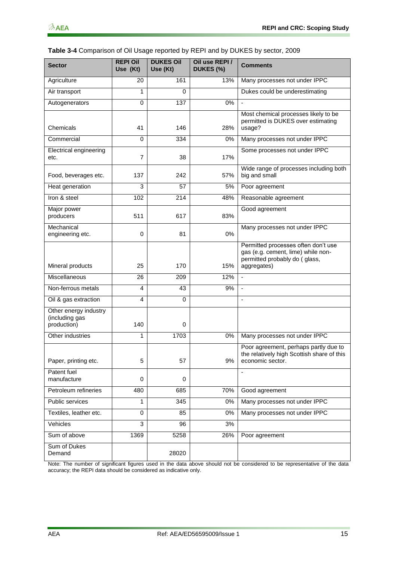| Table 3-4 Comparison of Oil Usage reported by REPI and by DUKES by sector, 2009 |  |  |  |
|---------------------------------------------------------------------------------|--|--|--|
|---------------------------------------------------------------------------------|--|--|--|

| <b>Sector</b>                                          | <b>REPI Oil</b><br>Use (Kt) | <b>DUKES Oil</b><br>Use (Kt) | Oil use REPI/<br>DUKES (%) | <b>Comments</b>                                                                                                           |
|--------------------------------------------------------|-----------------------------|------------------------------|----------------------------|---------------------------------------------------------------------------------------------------------------------------|
| Agriculture                                            | 20                          | 161                          | 13%                        | Many processes not under IPPC                                                                                             |
| Air transport                                          | 1                           | 0                            |                            | Dukes could be underestimating                                                                                            |
| Autogenerators                                         | $\mathbf 0$                 | 137                          | 0%                         |                                                                                                                           |
| Chemicals                                              | 41                          | 146                          | 28%                        | Most chemical processes likely to be<br>permitted is DUKES over estimating<br>usage?                                      |
| Commercial                                             | $\Omega$                    | 334                          | 0%                         | Many processes not under IPPC                                                                                             |
| Electrical engineering<br>etc.                         | $\overline{7}$              | 38                           | 17%                        | Some processes not under IPPC                                                                                             |
| Food, beverages etc.                                   | 137                         | 242                          | 57%                        | Wide range of processes including both<br>big and small                                                                   |
| Heat generation                                        | 3                           | 57                           | 5%                         | Poor agreement                                                                                                            |
| Iron & steel                                           | 102                         | 214                          | 48%                        | Reasonable agreement                                                                                                      |
| Major power<br>producers                               | 511                         | 617                          | 83%                        | Good agreement                                                                                                            |
| Mechanical<br>engineering etc.                         | 0                           | 81                           | 0%                         | Many processes not under IPPC                                                                                             |
| Mineral products                                       | 25                          | 170                          | 15%                        | Permitted processes often don't use<br>gas (e.g. cement, lime) while non-<br>permitted probably do (glass,<br>aggregates) |
| Miscellaneous                                          | 26                          | 209                          | 12%                        |                                                                                                                           |
| Non-ferrous metals                                     | $\overline{\mathbf{4}}$     | 43                           | 9%                         |                                                                                                                           |
| Oil & gas extraction                                   | $\overline{4}$              | $\mathbf 0$                  |                            | $\overline{a}$                                                                                                            |
| Other energy industry<br>(including gas<br>production) | 140                         | 0                            |                            |                                                                                                                           |
| Other industries                                       | 1                           | 1703                         | 0%                         | Many processes not under IPPC                                                                                             |
| Paper, printing etc.                                   | 5                           | 57                           | 9%                         | Poor agreement, perhaps partly due to<br>the relatively high Scottish share of this<br>economic sector.                   |
| Patent fuel<br>manufacture                             | 0                           | 0                            |                            |                                                                                                                           |
| Petroleum refineries                                   | 480                         | 685                          | 70%                        | Good agreement                                                                                                            |
| Public services                                        | 1                           | 345                          | $0\%$                      | Many processes not under IPPC                                                                                             |
| Textiles, leather etc.                                 | $\mathbf 0$                 | 85                           | 0%                         | Many processes not under IPPC                                                                                             |
| Vehicles                                               | $\overline{3}$              | 96                           | 3%                         |                                                                                                                           |
| Sum of above                                           | 1369                        | 5258                         | 26%                        | Poor agreement                                                                                                            |
| Sum of Dukes<br>Demand                                 |                             | 28020                        |                            |                                                                                                                           |

<span id="page-18-0"></span>Note: The number of significant figures used in the data above should not be considered to be representative of the data accuracy; the REPI data should be considered as indicative only.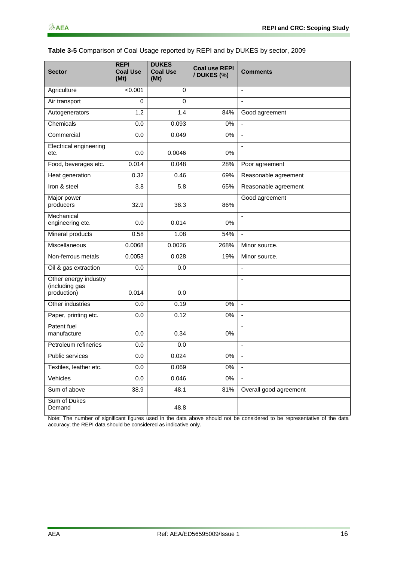| <b>Sector</b>                                          | <b>REPI</b><br><b>Coal Use</b><br>(Mt) | <b>DUKES</b><br><b>Coal Use</b><br>(Mt) | <b>Coal use REPI</b><br>/ DUKES (%) | <b>Comments</b>          |
|--------------------------------------------------------|----------------------------------------|-----------------------------------------|-------------------------------------|--------------------------|
| Agriculture                                            | < 0.001                                | 0                                       |                                     | $\blacksquare$           |
| Air transport                                          | 0                                      | 0                                       |                                     | $\blacksquare$           |
| Autogenerators                                         | 1.2                                    | 1.4                                     | 84%                                 | Good agreement           |
| Chemicals                                              | 0.0                                    | 0.093                                   | 0%                                  | $\blacksquare$           |
| Commercial                                             | 0.0                                    | 0.049                                   | 0%                                  | $\mathbf{r}$             |
| Electrical engineering<br>etc.                         | 0.0                                    | 0.0046                                  | 0%                                  | ä,                       |
| Food, beverages etc.                                   | 0.014                                  | 0.048                                   | 28%                                 | Poor agreement           |
| Heat generation                                        | 0.32                                   | 0.46                                    | 69%                                 | Reasonable agreement     |
| Iron & steel                                           | 3.8                                    | 5.8                                     | 65%                                 | Reasonable agreement     |
| Major power<br>producers                               | 32.9                                   | 38.3                                    | 86%                                 | Good agreement           |
| Mechanical<br>engineering etc.                         | 0.0                                    | 0.014                                   | 0%                                  |                          |
| Mineral products                                       | 0.58                                   | 1.08                                    | 54%                                 | $\blacksquare$           |
| Miscellaneous                                          | 0.0068                                 | 0.0026                                  | 268%                                | Minor source.            |
| Non-ferrous metals                                     | 0.0053                                 | 0.028                                   | 19%                                 | Minor source.            |
| Oil & gas extraction                                   | 0.0                                    | 0.0                                     |                                     | $\blacksquare$           |
| Other energy industry<br>(including gas<br>production) | 0.014                                  | 0.0                                     |                                     | ÷,                       |
| Other industries                                       | 0.0                                    | 0.19                                    | 0%                                  | $\overline{\phantom{a}}$ |
| Paper, printing etc.                                   | 0.0                                    | 0.12                                    | 0%                                  | ä,                       |
| Patent fuel<br>manufacture                             | 0.0                                    | 0.34                                    | 0%                                  | ÷,                       |
| Petroleum refineries                                   | 0.0                                    | 0.0                                     |                                     | ä,                       |
| <b>Public services</b>                                 | 0.0                                    | 0.024                                   | 0%                                  | $\sim$                   |
| Textiles, leather etc.                                 | 0.0                                    | 0.069                                   | $0\%$                               | $\blacksquare$           |
| Vehicles                                               | 0.0                                    | 0.046                                   | $0\%$                               | $\blacksquare$           |
| Sum of above                                           | 38.9                                   | 48.1                                    | 81%                                 | Overall good agreement   |
| Sum of Dukes<br>Demand                                 |                                        | 48.8                                    |                                     |                          |

#### **Table 3-5** Comparison of Coal Usage reported by REPI and by DUKES by sector, 2009

Note: The number of significant figures used in the data above should not be considered to be representative of the data accuracy; the REPI data should be considered as indicative only.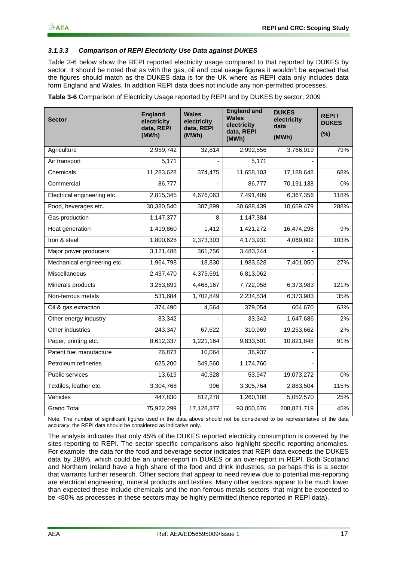#### *3.1.3.3 Comparison of REPI Electricity Use Data against DUKES*

[Table 3-6](#page-20-0) below show the REPI reported electricity usage compared to that reported by DUKES by sector. It should be noted that as with the gas, oil and coal usage figures it wouldn"t be expected that the figures should match as the DUKES data is for the UK where as REPI data only includes data form England and Wales. In addition REPI data does not include any non-permitted processes.

<span id="page-20-0"></span>**Table 3-6** Comparison of Electricity Usage reported by REPI and by DUKES by sector, 2009

| <b>Sector</b>               | <b>England</b><br>electricity<br>data, REPI<br>(MWh) | <b>Wales</b><br>electricity<br>data, REPI<br>(MWh) | <b>England and</b><br><b>Wales</b><br>electricity<br>data, REPI<br>(MWh) | <b>DUKES</b><br>electricity<br>data<br>(MWh) | REPI <sub>/</sub><br><b>DUKES</b><br>(%) |
|-----------------------------|------------------------------------------------------|----------------------------------------------------|--------------------------------------------------------------------------|----------------------------------------------|------------------------------------------|
| Agriculture                 | 2,959,742                                            | 32,814                                             | 2,992,556                                                                | 3,766,019                                    | 79%                                      |
| Air transport               | 5,171                                                |                                                    | 5,171                                                                    |                                              |                                          |
| Chemicals                   | 11,283,628                                           | 374,475                                            | 11,658,103                                                               | 17,188,648                                   | 68%                                      |
| Commercial                  | 86,777                                               |                                                    | 86,777                                                                   | 70,191,138                                   | 0%                                       |
| Electrical engineering etc. | 2,815,345                                            | 4,676,063                                          | 7,491,409                                                                | 6,367,356                                    | 118%                                     |
| Food, beverages etc.        | 30,380,540                                           | 307,899                                            | 30,688,439                                                               | 10,659,479                                   | 288%                                     |
| Gas production              | 1,147,377                                            | 8                                                  | 1,147,384                                                                |                                              |                                          |
| Heat generation             | 1,419,860                                            | 1,412                                              | 1,421,272                                                                | 16,474,298                                   | 9%                                       |
| Iron & steel                | 1,800,628                                            | 2,373,303                                          | 4,173,931                                                                | 4,069,802                                    | 103%                                     |
| Major power producers       | 3,121,488                                            | 361,756                                            | 3,483,244                                                                |                                              |                                          |
| Mechanical engineering etc. | 1,964,798                                            | 18,830                                             | 1,983,628                                                                | 7,401,050                                    | 27%                                      |
| Miscellaneous               | 2,437,470                                            | 4,375,591                                          | 6,813,062                                                                |                                              |                                          |
| Minerals products           | 3,253,891                                            | 4,468,167                                          | 7,722,058                                                                | 6,373,983                                    | 121%                                     |
| Non-ferrous metals          | 531,684                                              | 1,702,849                                          | 2,234,534                                                                | 6,373,983                                    | 35%                                      |
| Oil & gas extraction        | 374,490                                              | 4,564                                              | 379,054                                                                  | 604,670                                      | 63%                                      |
| Other energy industry       | 33,342                                               |                                                    | 33,342                                                                   | 1,647,686                                    | 2%                                       |
| Other industries            | 243,347                                              | 67,622                                             | 310,969                                                                  | 19,253,662                                   | 2%                                       |
| Paper, printing etc.        | 8,612,337                                            | $\overline{1,}221,164$                             | 9,833,501                                                                | 10,821,848                                   | 91%                                      |
| Patent fuel manufacture     | 26,873                                               | 10,064                                             | 36,937                                                                   |                                              |                                          |
| Petroleum refineries        | 625,200                                              | 549,560                                            | 1,174,760                                                                |                                              |                                          |
| Public services             | 13,619                                               | 40,328                                             | 53,947                                                                   | 19,073,272                                   | 0%                                       |
| Textiles, leather etc.      | 3,304,768                                            | 996                                                | 3,305,764                                                                | 2,883,504                                    | 115%                                     |
| Vehicles                    | 447,830                                              | 812,278                                            | 1,260,108                                                                | 5,052,570                                    | 25%                                      |
| <b>Grand Total</b>          | 75,922,299                                           | 17,128,377                                         | 93,050,676                                                               | 208,821,719                                  | 45%                                      |

Note: The number of significant figures used in the data above should not be considered to be representative of the data accuracy; the REPI data should be considered as indicative only.

The analysis indicates that only 45% of the DUKES reported electricity consumption is covered by the sites reporting to REPI. The sector-specific comparisons also highlight specific reporting anomalies. For example, the data for the food and beverage sector indicates that REPI data exceeds the DUKES data by 288%, which could be an under-report in DUKES or an over-report in REPI. Both Scotland and Northern Ireland have a high share of the food and drink industries, so perhaps this is a sector that warrants further research. Other sectors that appear to need review due to potential mis-reporting are electrical engineering, mineral products and textiles. Many other sectors appear to be much lower than expected these include chemicals and the non-ferrous metals sectors that might be expected to be <80% as processes in these sectors may be highly permitted (hence reported in REPI data).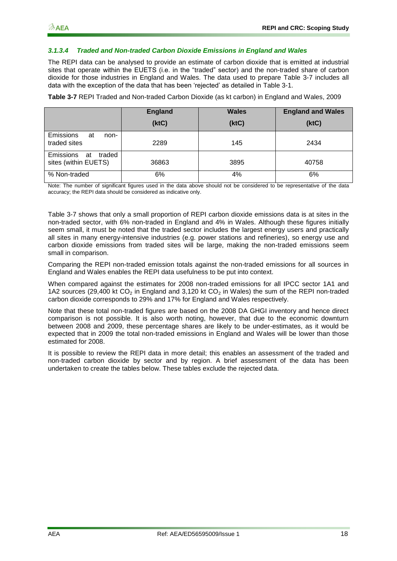#### *3.1.3.4 Traded and Non-traded Carbon Dioxide Emissions in England and Wales*

The REPI data can be analysed to provide an estimate of carbon dioxide that is emitted at industrial sites that operate within the EUETS (i.e. in the "traded" sector) and the non-traded share of carbon dioxide for those industries in England and Wales. The data used to prepare [Table 3-7](#page-21-0) includes all data with the exception of the data that has been "rejected" as detailed in [Table 3-1.](#page-13-1)

<span id="page-21-0"></span>**Table 3-7** REPI Traded and Non-traded Carbon Dioxide (as kt carbon) in England and Wales, 2009

|                                                | <b>England</b><br>(ktC) | <b>Wales</b><br>(ktC) | <b>England and Wales</b><br>(ktC) |
|------------------------------------------------|-------------------------|-----------------------|-----------------------------------|
| <b>Emissions</b><br>at<br>non-<br>traded sites | 2289                    | 145                   | 2434                              |
| Emissions at<br>traded<br>sites (within EUETS) | 36863                   | 3895                  | 40758                             |
| % Non-traded                                   | 6%                      | 4%                    | 6%                                |

Note: The number of significant figures used in the data above should not be considered to be representative of the data accuracy; the REPI data should be considered as indicative only.

[Table 3-7](#page-21-0) shows that only a small proportion of REPI carbon dioxide emissions data is at sites in the non-traded sector, with 6% non-traded in England and 4% in Wales. Although these figures initially seem small, it must be noted that the traded sector includes the largest energy users and practically all sites in many energy-intensive industries (e.g. power stations and refineries), so energy use and carbon dioxide emissions from traded sites will be large, making the non-traded emissions seem small in comparison.

Comparing the REPI non-traded emission totals against the non-traded emissions for all sources in England and Wales enables the REPI data usefulness to be put into context.

When compared against the estimates for 2008 non-traded emissions for all IPCC sector 1A1 and 1A2 sources (29,400 kt  $CO<sub>2</sub>$  in England and 3,120 kt  $CO<sub>2</sub>$  in Wales) the sum of the REPI non-traded carbon dioxide corresponds to 29% and 17% for England and Wales respectively.

Note that these total non-traded figures are based on the 2008 DA GHGI inventory and hence direct comparison is not possible. It is also worth noting, however, that due to the economic downturn between 2008 and 2009, these percentage shares are likely to be under-estimates, as it would be expected that in 2009 the total non-traded emissions in England and Wales will be lower than those estimated for 2008.

It is possible to review the REPI data in more detail; this enables an assessment of the traded and non-traded carbon dioxide by sector and by region. A brief assessment of the data has been undertaken to create the tables below. These tables exclude the rejected data.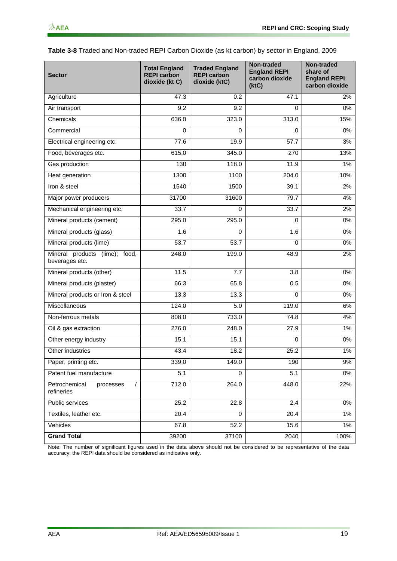<span id="page-22-0"></span>

| Table 3-8 Traded and Non-traded REPI Carbon Dioxide (as kt carbon) by sector in England, 2009 |  |  |
|-----------------------------------------------------------------------------------------------|--|--|
|                                                                                               |  |  |

| <b>Sector</b>                                        | <b>Total England</b><br><b>REPI carbon</b><br>dioxide (kt C) | <b>Traded England</b><br><b>REPI carbon</b><br>dioxide (ktC) | Non-traded<br><b>England REPI</b><br>carbon dioxide<br>(ktC) | <b>Non-traded</b><br>share of<br><b>England REPI</b><br>carbon dioxide |
|------------------------------------------------------|--------------------------------------------------------------|--------------------------------------------------------------|--------------------------------------------------------------|------------------------------------------------------------------------|
| Agriculture                                          | 47.3                                                         | 0.2                                                          | 47.1                                                         | 2%                                                                     |
| Air transport                                        | 9.2                                                          | 9.2                                                          | $\Omega$                                                     | 0%                                                                     |
| Chemicals                                            | 636.0                                                        | 323.0                                                        | 313.0                                                        | 15%                                                                    |
| Commercial                                           | 0                                                            | 0                                                            | 0                                                            | 0%                                                                     |
| Electrical engineering etc.                          | 77.6                                                         | 19.9                                                         | 57.7                                                         | 3%                                                                     |
| Food, beverages etc.                                 | 615.0                                                        | 345.0                                                        | $\overline{270}$                                             | 13%                                                                    |
| Gas production                                       | 130                                                          | 118.0                                                        | 11.9                                                         | 1%                                                                     |
| Heat generation                                      | 1300                                                         | 1100                                                         | 204.0                                                        | 10%                                                                    |
| Iron & steel                                         | 1540                                                         | 1500                                                         | 39.1                                                         | 2%                                                                     |
| Major power producers                                | 31700                                                        | 31600                                                        | 79.7                                                         | 4%                                                                     |
| Mechanical engineering etc.                          | 33.7                                                         | $\Omega$                                                     | 33.7                                                         | 2%                                                                     |
| Mineral products (cement)                            | 295.0                                                        | 295.0                                                        | $\Omega$                                                     | 0%                                                                     |
| Mineral products (glass)                             | 1.6                                                          | 0                                                            | 1.6                                                          | 0%                                                                     |
| Mineral products (lime)                              | 53.7                                                         | 53.7                                                         | 0                                                            | 0%                                                                     |
| Mineral products (lime); food,<br>beverages etc.     | 248.0                                                        | 199.0                                                        | 48.9                                                         | 2%                                                                     |
| Mineral products (other)                             | 11.5                                                         | 7.7                                                          | 3.8                                                          | 0%                                                                     |
| Mineral products (plaster)                           | 66.3                                                         | 65.8                                                         | 0.5                                                          | 0%                                                                     |
| Mineral products or Iron & steel                     | 13.3                                                         | 13.3                                                         | 0                                                            | 0%                                                                     |
| Miscellaneous                                        | 124.0                                                        | 5.0                                                          | 119.0                                                        | 6%                                                                     |
| Non-ferrous metals                                   | 808.0                                                        | 733.0                                                        | 74.8                                                         | 4%                                                                     |
| Oil & gas extraction                                 | 276.0                                                        | 248.0                                                        | 27.9                                                         | $1\%$                                                                  |
| Other energy industry                                | 15.1                                                         | 15.1                                                         | 0                                                            | 0%                                                                     |
| Other industries                                     | 43.4                                                         | 18.2                                                         | 25.2                                                         | $1\%$                                                                  |
| Paper, printing etc.                                 | 339.0                                                        | 149.0                                                        | 190                                                          | 9%                                                                     |
| Patent fuel manufacture                              | $\overline{5.1}$                                             | $\Omega$                                                     | 5.1                                                          | 0%                                                                     |
| Petrochemical<br>$\prime$<br>processes<br>refineries | 712.0                                                        | 264.0                                                        | 448.0                                                        | 22%                                                                    |
| Public services                                      | 25.2                                                         | 22.8                                                         | 2.4                                                          | 0%                                                                     |
| Textiles, leather etc.                               | 20.4                                                         | $\mathbf 0$                                                  | 20.4                                                         | 1%                                                                     |
| Vehicles                                             | 67.8                                                         | 52.2                                                         | 15.6                                                         | $1\%$                                                                  |
| <b>Grand Total</b>                                   | 39200                                                        | 37100                                                        | 2040                                                         | 100%                                                                   |

<span id="page-22-1"></span>Note: The number of significant figures used in the data above should not be considered to be representative of the data accuracy; the REPI data should be considered as indicative only.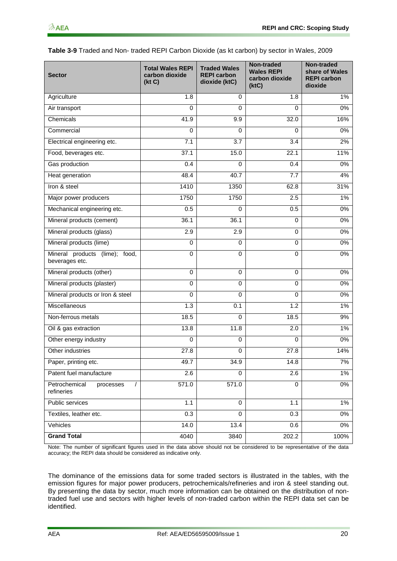| Table 3-9 Traded and Non- traded REPI Carbon Dioxide (as kt carbon) by sector in Wales, 2009 |  |
|----------------------------------------------------------------------------------------------|--|
|----------------------------------------------------------------------------------------------|--|

| <b>Sector</b>                                        | <b>Total Wales REPI</b><br>carbon dioxide<br>(kt C) | <b>Traded Wales</b><br><b>REPI carbon</b><br>dioxide (ktC) | Non-traded<br><b>Wales REPI</b><br>carbon dioxide<br>(ktC) | Non-traded<br>share of Wales<br><b>REPI carbon</b><br>dioxide |
|------------------------------------------------------|-----------------------------------------------------|------------------------------------------------------------|------------------------------------------------------------|---------------------------------------------------------------|
| Agriculture                                          | 1.8                                                 | 0                                                          | 1.8                                                        | 1%                                                            |
| Air transport                                        | $\Omega$                                            | $\Omega$                                                   | 0                                                          | 0%                                                            |
| Chemicals                                            | 41.9                                                | 9.9                                                        | 32.0                                                       | 16%                                                           |
| Commercial                                           | $\Omega$                                            | 0                                                          | 0                                                          | 0%                                                            |
| Electrical engineering etc.                          | 7.1                                                 | 3.7                                                        | 3.4                                                        | 2%                                                            |
| Food, beverages etc.                                 | 37.1                                                | 15.0                                                       | 22.1                                                       | 11%                                                           |
| Gas production                                       | 0.4                                                 | 0                                                          | 0.4                                                        | 0%                                                            |
| Heat generation                                      | 48.4                                                | 40.7                                                       | 7.7                                                        | 4%                                                            |
| Iron & steel                                         | 1410                                                | 1350                                                       | 62.8                                                       | 31%                                                           |
| Major power producers                                | 1750                                                | 1750                                                       | 2.5                                                        | 1%                                                            |
| Mechanical engineering etc.                          | 0.5                                                 | 0                                                          | 0.5                                                        | 0%                                                            |
| Mineral products (cement)                            | 36.1                                                | 36.1                                                       | 0                                                          | 0%                                                            |
| Mineral products (glass)                             | 2.9                                                 | 2.9                                                        | 0                                                          | 0%                                                            |
| Mineral products (lime)                              | $\mathbf 0$                                         | $\mathbf 0$                                                | 0                                                          | 0%                                                            |
| Mineral products (lime); food,<br>beverages etc.     | $\Omega$                                            | 0                                                          | $\Omega$                                                   | 0%                                                            |
| Mineral products (other)                             | $\Omega$                                            | $\mathbf 0$                                                | 0                                                          | 0%                                                            |
| Mineral products (plaster)                           | $\mathbf 0$                                         | $\mathbf 0$                                                | 0                                                          | 0%                                                            |
| Mineral products or Iron & steel                     | $\mathbf 0$                                         | $\mathbf 0$                                                | 0                                                          | 0%                                                            |
| Miscellaneous                                        | 1.3                                                 | 0.1                                                        | $\overline{1.2}$                                           | 1%                                                            |
| Non-ferrous metals                                   | 18.5                                                | 0                                                          | 18.5                                                       | 9%                                                            |
| Oil & gas extraction                                 | 13.8                                                | 11.8                                                       | 2.0                                                        | $1\%$                                                         |
| Other energy industry                                | $\mathbf 0$                                         | $\mathbf 0$                                                | 0                                                          | 0%                                                            |
| Other industries                                     | 27.8                                                | $\mathbf 0$                                                | 27.8                                                       | 14%                                                           |
| Paper, printing etc.                                 | 49.7                                                | 34.9                                                       | 14.8                                                       | 7%                                                            |
| Patent fuel manufacture                              | $\overline{2.6}$                                    | $\Omega$                                                   | $\overline{2.6}$                                           | $1\%$                                                         |
| Petrochemical<br>processes<br>$\prime$<br>refineries | 571.0                                               | 571.0                                                      | $\mathbf 0$                                                | $0\%$                                                         |
| Public services                                      | 1.1                                                 | $\mathbf 0$                                                | 1.1                                                        | $1\%$                                                         |
| Textiles, leather etc.                               | 0.3                                                 | $\Omega$                                                   | 0.3                                                        | $0\%$                                                         |
| Vehicles                                             | 14.0                                                | 13.4                                                       | 0.6                                                        | 0%                                                            |
| <b>Grand Total</b>                                   | 4040                                                | 3840                                                       | 202.2                                                      | 100%                                                          |

Note: The number of significant figures used in the data above should not be considered to be representative of the data accuracy; the REPI data should be considered as indicative only.

The dominance of the emissions data for some traded sectors is illustrated in the tables, with the emission figures for major power producers, petrochemicals/refineries and iron & steel standing out. By presenting the data by sector, much more information can be obtained on the distribution of nontraded fuel use and sectors with higher levels of non-traded carbon within the REPI data set can be identified.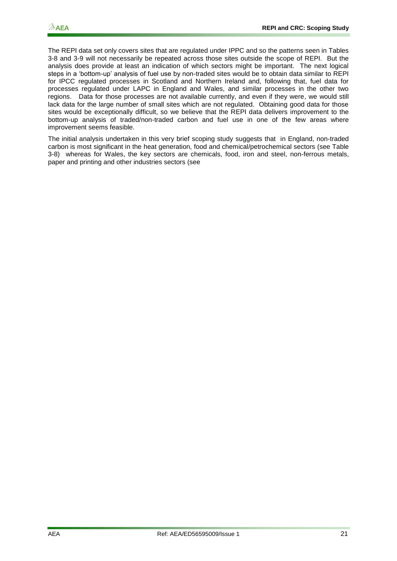The REPI data set only covers sites that are regulated under IPPC and so the patterns seen in Tables 3-8 and 3-9 will not necessarily be repeated across those sites outside the scope of REPI. But the analysis does provide at least an indication of which sectors might be important. The next logical steps in a "bottom-up" analysis of fuel use by non-traded sites would be to obtain data similar to REPI for IPCC regulated processes in Scotland and Northern Ireland and, following that, fuel data for processes regulated under LAPC in England and Wales, and similar processes in the other two regions. Data for those processes are not available currently, and even if they were, we would still lack data for the large number of small sites which are not regulated. Obtaining good data for those sites would be exceptionally difficult, so we believe that the REPI data delivers improvement to the bottom-up analysis of traded/non-traded carbon and fuel use in one of the few areas where improvement seems feasible.

The initial analysis undertaken in this very brief scoping study suggests that in England, non-traded carbon is most significant in the heat generation, food and chemical/petrochemical sectors (see [Table](#page-22-0)  [3-8\)](#page-22-0) whereas for Wales, the key sectors are chemicals, food, iron and steel, non-ferrous metals, paper and printing and other industries sectors (see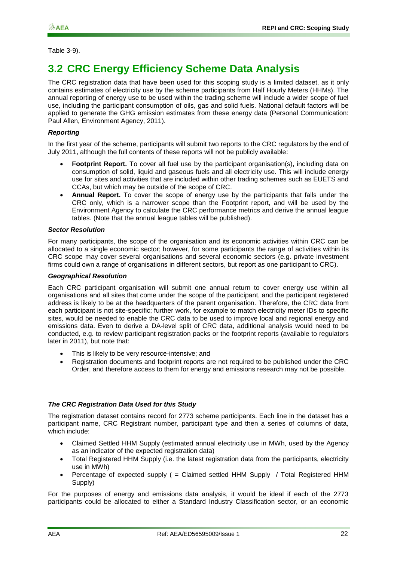#### Table 3-9).

### <span id="page-25-0"></span>**3.2 CRC Energy Efficiency Scheme Data Analysis**

The CRC registration data that have been used for this scoping study is a limited dataset, as it only contains estimates of electricity use by the scheme participants from Half Hourly Meters (HHMs). The annual reporting of energy use to be used within the trading scheme will include a wider scope of fuel use, including the participant consumption of oils, gas and solid fuels. National default factors will be applied to generate the GHG emission estimates from these energy data (Personal Communication: Paul Allen, Environment Agency, 2011).

#### *Reporting*

In the first year of the scheme, participants will submit two reports to the CRC regulators by the end of July 2011, although the full contents of these reports will not be publicly available:

- Footprint Report. To cover all fuel use by the participant organisation(s), including data on consumption of solid, liquid and gaseous fuels and all electricity use. This will include energy use for sites and activities that are included within other trading schemes such as EUETS and CCAs, but which may be outside of the scope of CRC.
- **Annual Report.** To cover the scope of energy use by the participants that falls under the CRC only, which is a narrower scope than the Footprint report, and will be used by the Environment Agency to calculate the CRC performance metrics and derive the annual league tables. (Note that the annual league tables will be published).

#### *Sector Resolution*

For many participants, the scope of the organisation and its economic activities within CRC can be allocated to a single economic sector; however, for some participants the range of activities within its CRC scope may cover several organisations and several economic sectors (e.g. private investment firms could own a range of organisations in different sectors, but report as one participant to CRC).

#### *Geographical Resolution*

Each CRC participant organisation will submit one annual return to cover energy use within all organisations and all sites that come under the scope of the participant, and the participant registered address is likely to be at the headquarters of the parent organisation. Therefore, the CRC data from each participant is not site-specific; further work, for example to match electricity meter IDs to specific sites, would be needed to enable the CRC data to be used to improve local and regional energy and emissions data. Even to derive a DA-level split of CRC data, additional analysis would need to be conducted, e.g. to review participant registration packs or the footprint reports (available to regulators later in 2011), but note that:

- This is likely to be very resource-intensive; and
- Registration documents and footprint reports are not required to be published under the CRC Order, and therefore access to them for energy and emissions research may not be possible.

#### *The CRC Registration Data Used for this Study*

The registration dataset contains record for 2773 scheme participants. Each line in the dataset has a participant name, CRC Registrant number, participant type and then a series of columns of data, which include:

- Claimed Settled HHM Supply (estimated annual electricity use in MWh, used by the Agency as an indicator of the expected registration data)
- Total Registered HHM Supply (i.e. the latest registration data from the participants, electricity use in MWh)
- Percentage of expected supply ( = Claimed settled HHM Supply / Total Registered HHM Supply)

For the purposes of energy and emissions data analysis, it would be ideal if each of the 2773 participants could be allocated to either a Standard Industry Classification sector, or an economic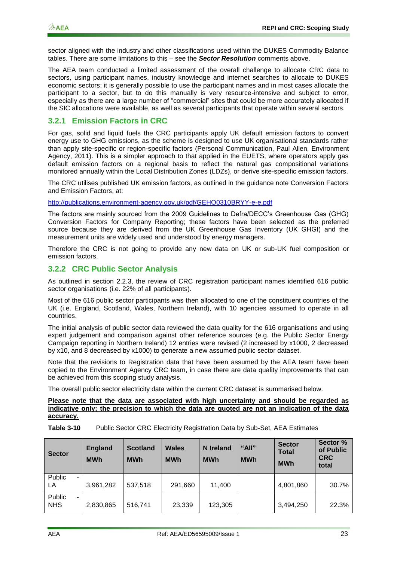sector aligned with the industry and other classifications used within the DUKES Commodity Balance tables. There are some limitations to this – see the *Sector Resolution* comments above.

The AEA team conducted a limited assessment of the overall challenge to allocate CRC data to sectors, using participant names, industry knowledge and internet searches to allocate to DUKES economic sectors; it is generally possible to use the participant names and in most cases allocate the participant to a sector, but to do this manually is very resource-intensive and subject to error, especially as there are a large number of "commercial" sites that could be more accurately allocated if the SIC allocations were available, as well as several participants that operate within several sectors.

#### **3.2.1 Emission Factors in CRC**

For gas, solid and liquid fuels the CRC participants apply UK default emission factors to convert energy use to GHG emissions, as the scheme is designed to use UK organisational standards rather than apply site-specific or region-specific factors (Personal Communication, Paul Allen, Environment Agency, 2011). This is a simpler approach to that applied in the EUETS, where operators apply gas default emission factors on a regional basis to reflect the natural gas compositional variations monitored annually within the Local Distribution Zones (LDZs), or derive site-specific emission factors.

The CRC utilises published UK emission factors, as outlined in the guidance note Conversion Factors and Emission Factors, at:

<http://publications.environment-agency.gov.uk/pdf/GEHO0310BRYY-e-e.pdf>

The factors are mainly sourced from the 2009 Guidelines to Defra/DECC"s Greenhouse Gas (GHG) Conversion Factors for Company Reporting; these factors have been selected as the preferred source because they are derived from the UK Greenhouse Gas Inventory (UK GHGI) and the measurement units are widely used and understood by energy managers.

Therefore the CRC is not going to provide any new data on UK or sub-UK fuel composition or emission factors.

#### **3.2.2 CRC Public Sector Analysis**

As outlined in section 2.2.3, the review of CRC registration participant names identified 616 public sector organisations (i.e. 22% of all participants).

Most of the 616 public sector participants was then allocated to one of the constituent countries of the UK (i.e. England, Scotland, Wales, Northern Ireland), with 10 agencies assumed to operate in all countries.

The initial analysis of public sector data reviewed the data quality for the 616 organisations and using expert judgement and comparison against other reference sources (e.g. the Public Sector Energy Campaign reporting in Northern Ireland) 12 entries were revised (2 increased by x1000, 2 decreased by x10, and 8 decreased by x1000) to generate a new assumed public sector dataset.

Note that the revisions to Registration data that have been assumed by the AEA team have been copied to the Environment Agency CRC team, in case there are data quality improvements that can be achieved from this scoping study analysis.

The overall public sector electricity data within the current CRC dataset is summarised below.

#### **Please note that the data are associated with high uncertainty and should be regarded as indicative only; the precision to which the data are quoted are not an indication of the data accuracy.**

**Table 3-10** Public Sector CRC Electricity Registration Data by Sub-Set, AEA Estimates

| <b>Sector</b>              | <b>England</b><br><b>MWh</b> | <b>Scotland</b><br><b>MWh</b> | Wales<br><b>MWh</b> | N Ireland<br><b>MWh</b> | "All"<br><b>MWh</b> | <b>Sector</b><br><b>Total</b><br><b>MWh</b> | Sector %<br>of Public<br><b>CRC</b><br>total |
|----------------------------|------------------------------|-------------------------------|---------------------|-------------------------|---------------------|---------------------------------------------|----------------------------------------------|
| Public<br>۰.<br>LA         | 3,961,282                    | 537,518                       | 291,660             | 11.400                  |                     | 4,801,860                                   | 30.7%                                        |
| Public<br>۰.<br><b>NHS</b> | 2,830,865                    | 516,741                       | 23,339              | 123,305                 |                     | 3,494,250                                   | 22.3%                                        |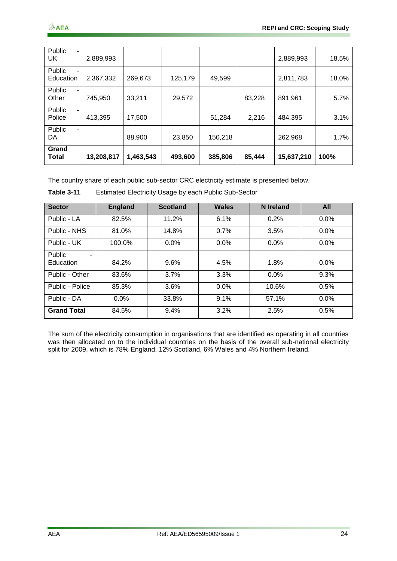| Public<br><b>UK</b>   | 2,889,993  |           |         |         |        | 2,889,993  | 18.5% |
|-----------------------|------------|-----------|---------|---------|--------|------------|-------|
| Public<br>Education   | 2,367,332  | 269,673   | 125,179 | 49,599  |        | 2,811,783  | 18.0% |
| Public<br>۰.<br>Other | 745.950    | 33,211    | 29,572  |         | 83,228 | 891,961    | 5.7%  |
| Public<br>Police      | 413,395    | 17,500    |         | 51,284  | 2,216  | 484,395    | 3.1%  |
| Public<br>۰.<br>DA    |            | 88,900    | 23,850  | 150,218 |        | 262,968    | 1.7%  |
| Grand<br>Total        | 13,208,817 | 1,463,543 | 493,600 | 385,806 | 85,444 | 15,637,210 | 100%  |

The country share of each public sub-sector CRC electricity estimate is presented below.

| <b>Sector</b>      | <b>England</b> | <b>Scotland</b> | <b>Wales</b> | <b>N</b> Ireland | <b>All</b> |
|--------------------|----------------|-----------------|--------------|------------------|------------|
| Public - LA        | 82.5%          | 11.2%           | 6.1%         | 0.2%             | $0.0\%$    |
| Public - NHS       | 81.0%          | 14.8%           | 0.7%         | 3.5%             | $0.0\%$    |
| Public - UK        | 100.0%         | $0.0\%$         | $0.0\%$      | 0.0%             | 0.0%       |
| Public             |                |                 |              |                  |            |
| Education          | 84.2%          | 9.6%            | 4.5%         | 1.8%             | $0.0\%$    |
| Public - Other     | 83.6%          | 3.7%            | 3.3%         | 0.0%             | 9.3%       |
| Public - Police    | 85.3%          | 3.6%            | $0.0\%$      | 10.6%            | 0.5%       |
| Public - DA        | $0.0\%$        | 33.8%           | 9.1%         | 57.1%            | 0.0%       |
| <b>Grand Total</b> | 84.5%          | 9.4%            | 3.2%         | 2.5%             | 0.5%       |

**Table 3-11** Estimated Electricity Usage by each Public Sub-Sector

The sum of the electricity consumption in organisations that are identified as operating in all countries was then allocated on to the individual countries on the basis of the overall sub-national electricity split for 2009, which is 78% England, 12% Scotland, 6% Wales and 4% Northern Ireland.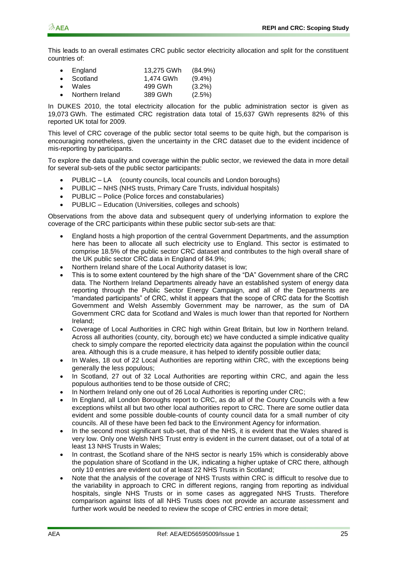This leads to an overall estimates CRC public sector electricity allocation and split for the constituent countries of:

| $\bullet$ | England          | 13,275 GWh | $(84.9\%)$ |
|-----------|------------------|------------|------------|
| $\bullet$ | Scotland         | 1.474 GWh  | $(9.4\%)$  |
| $\bullet$ | Wales            | 499 GWh    | $(3.2\%)$  |
| $\bullet$ | Northern Ireland | 389 GWh    | (2.5%)     |

In DUKES 2010, the total electricity allocation for the public administration sector is given as 19,073 GWh. The estimated CRC registration data total of 15,637 GWh represents 82% of this reported UK total for 2009.

This level of CRC coverage of the public sector total seems to be quite high, but the comparison is encouraging nonetheless, given the uncertainty in the CRC dataset due to the evident incidence of mis-reporting by participants.

To explore the data quality and coverage within the public sector, we reviewed the data in more detail for several sub-sets of the public sector participants:

- PUBLIC LA (county councils, local councils and London boroughs)
- PUBLIC NHS (NHS trusts, Primary Care Trusts, individual hospitals)
- PUBLIC Police (Police forces and constabularies)
- PUBLIC Education (Universities, colleges and schools)

Observations from the above data and subsequent query of underlying information to explore the coverage of the CRC participants within these public sector sub-sets are that:

- England hosts a high proportion of the central Government Departments, and the assumption here has been to allocate all such electricity use to England. This sector is estimated to comprise 18.5% of the public sector CRC dataset and contributes to the high overall share of the UK public sector CRC data in England of 84.9%;
- Northern Ireland share of the Local Authority dataset is low;
- This is to some extent countered by the high share of the "DA" Government share of the CRC data. The Northern Ireland Departments already have an established system of energy data reporting through the Public Sector Energy Campaign, and all of the Departments are "mandated participants" of CRC, whilst it appears that the scope of CRC data for the Scottish Government and Welsh Assembly Government may be narrower, as the sum of DA Government CRC data for Scotland and Wales is much lower than that reported for Northern Ireland;
- Coverage of Local Authorities in CRC high within Great Britain, but low in Northern Ireland. Across all authorities (county, city, borough etc) we have conducted a simple indicative quality check to simply compare the reported electricity data against the population within the council area. Although this is a crude measure, it has helped to identify possible outlier data;
- In Wales, 18 out of 22 Local Authorities are reporting within CRC, with the exceptions being generally the less populous;
- In Scotland, 27 out of 32 Local Authorities are reporting within CRC, and again the less populous authorities tend to be those outside of CRC;
- In Northern Ireland only one out of 26 Local Authorities is reporting under CRC;
- In England, all London Boroughs report to CRC, as do all of the County Councils with a few exceptions whilst all but two other local authorities report to CRC. There are some outlier data evident and some possible double-counts of county council data for a small number of city councils. All of these have been fed back to the Environment Agency for information.
- In the second most significant sub-set, that of the NHS, it is evident that the Wales shared is very low. Only one Welsh NHS Trust entry is evident in the current dataset, out of a total of at least 13 NHS Trusts in Wales;
- In contrast, the Scotland share of the NHS sector is nearly 15% which is considerably above the population share of Scotland in the UK, indicating a higher uptake of CRC there, although only 10 entries are evident out of at least 22 NHS Trusts in Scotland;
- Note that the analysis of the coverage of NHS Trusts within CRC is difficult to resolve due to the variability in approach to CRC in different regions, ranging from reporting as individual hospitals, single NHS Trusts or in some cases as aggregated NHS Trusts. Therefore comparison against lists of all NHS Trusts does not provide an accurate assessment and further work would be needed to review the scope of CRC entries in more detail;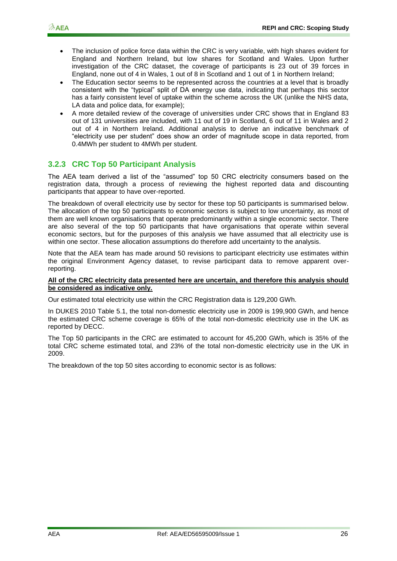- The inclusion of police force data within the CRC is very variable, with high shares evident for England and Northern Ireland, but low shares for Scotland and Wales. Upon further investigation of the CRC dataset, the coverage of participants is 23 out of 39 forces in England, none out of 4 in Wales, 1 out of 8 in Scotland and 1 out of 1 in Northern Ireland;
- The Education sector seems to be represented across the countries at a level that is broadly consistent with the "typical" split of DA energy use data, indicating that perhaps this sector has a fairly consistent level of uptake within the scheme across the UK (unlike the NHS data, LA data and police data, for example);
- A more detailed review of the coverage of universities under CRC shows that in England 83 out of 131 universities are included, with 11 out of 19 in Scotland, 6 out of 11 in Wales and 2 out of 4 in Northern Ireland. Additional analysis to derive an indicative benchmark of "electricity use per student" does show an order of magnitude scope in data reported, from 0.4MWh per student to 4MWh per student.

#### **3.2.3 CRC Top 50 Participant Analysis**

The AEA team derived a list of the "assumed" top 50 CRC electricity consumers based on the registration data, through a process of reviewing the highest reported data and discounting participants that appear to have over-reported.

The breakdown of overall electricity use by sector for these top 50 participants is summarised below. The allocation of the top 50 participants to economic sectors is subject to low uncertainty, as most of them are well known organisations that operate predominantly within a single economic sector. There are also several of the top 50 participants that have organisations that operate within several economic sectors, but for the purposes of this analysis we have assumed that all electricity use is within one sector. These allocation assumptions do therefore add uncertainty to the analysis.

Note that the AEA team has made around 50 revisions to participant electricity use estimates within the original Environment Agency dataset, to revise participant data to remove apparent overreporting.

#### **All of the CRC electricity data presented here are uncertain, and therefore this analysis should be considered as indicative only.**

Our estimated total electricity use within the CRC Registration data is 129,200 GWh.

In DUKES 2010 Table 5.1, the total non-domestic electricity use in 2009 is 199,900 GWh, and hence the estimated CRC scheme coverage is 65% of the total non-domestic electricity use in the UK as reported by DECC.

The Top 50 participants in the CRC are estimated to account for 45,200 GWh, which is 35% of the total CRC scheme estimated total, and 23% of the total non-domestic electricity use in the UK in 2009.

The breakdown of the top 50 sites according to economic sector is as follows: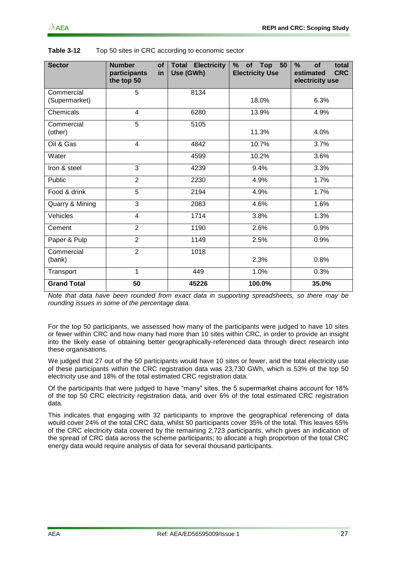| <b>Sector</b>               | <b>Number</b><br><b>of</b><br>participants<br>in<br>the top 50 | <b>Total Electricity</b><br>Use (GWh) | %<br>of Top<br>50<br><b>Electricity Use</b> | $\%$<br><b>of</b><br>total<br><b>CRC</b><br>estimated<br>electricity use |
|-----------------------------|----------------------------------------------------------------|---------------------------------------|---------------------------------------------|--------------------------------------------------------------------------|
| Commercial<br>(Supermarket) | 5                                                              | 8134                                  | 18.0%                                       | 6.3%                                                                     |
| <b>Chemicals</b>            | $\overline{4}$                                                 | 6280                                  | 13.9%                                       | 4.9%                                                                     |
| Commercial<br>(other)       | $\overline{5}$                                                 | 5105                                  | 11.3%                                       | 4.0%                                                                     |
| Oil & Gas                   | $\overline{\mathbf{4}}$                                        | 4842                                  | 10.7%                                       | 3.7%                                                                     |
| Water                       |                                                                | 4599                                  | 10.2%                                       | 3.6%                                                                     |
| Iron & steel                | 3                                                              | 4239                                  | 9.4%                                        | 3.3%                                                                     |
| Public                      | $\overline{2}$                                                 | 2230                                  | 4.9%                                        | 1.7%                                                                     |
| Food & drink                | 5                                                              | 2194                                  | 4.9%                                        | 1.7%                                                                     |
| Quarry & Mining             | 3                                                              | 2083                                  | 4.6%                                        | 1.6%                                                                     |
| Vehicles                    | 4                                                              | 1714                                  | 3.8%                                        | 1.3%                                                                     |
| Cement                      | $\overline{2}$                                                 | 1190                                  | 2.6%                                        | 0.9%                                                                     |
| Paper & Pulp                | $\overline{2}$                                                 | 1149                                  | 2.5%                                        | 0.9%                                                                     |
| Commercial<br>(bank)        | $\overline{2}$                                                 | 1018                                  | 2.3%                                        | 0.8%                                                                     |
| Transport                   | 1                                                              | 449                                   | 1.0%                                        | 0.3%                                                                     |
| <b>Grand Total</b>          | 50                                                             | 45226                                 | 100.0%                                      | 35.0%                                                                    |

| Table 3-12 | Top 50 sites in CRC according to economic sector |
|------------|--------------------------------------------------|
|------------|--------------------------------------------------|

*Note that data have been rounded from exact data in supporting spreadsheets, so there may be rounding issues in some of the percentage data.*

For the top 50 participants, we assessed how many of the participants were judged to have 10 sites or fewer within CRC and how many had more than 10 sites within CRC, in order to provide an insight into the likely ease of obtaining better geographically-referenced data through direct research into these organisations.

We judged that 27 out of the 50 participants would have 10 sites or fewer, and the total electricity use of these participants within the CRC registration data was 23,730 GWh, which is 53% of the top 50 electricity use and 18% of the total estimated CRC registration data.

Of the participants that were judged to have "many" sites, the 5 supermarket chains account for 18% of the top 50 CRC electricity registration data, and over 6% of the total estimated CRC registration data.

This indicates that engaging with 32 participants to improve the geographical referencing of data would cover 24% of the total CRC data, whilst 50 participants cover 35% of the total. This leaves 65% of the CRC electricity data covered by the remaining 2,723 participants, which gives an indication of the spread of CRC data across the scheme participants; to allocate a high proportion of the total CRC energy data would require analysis of data for several thousand participants.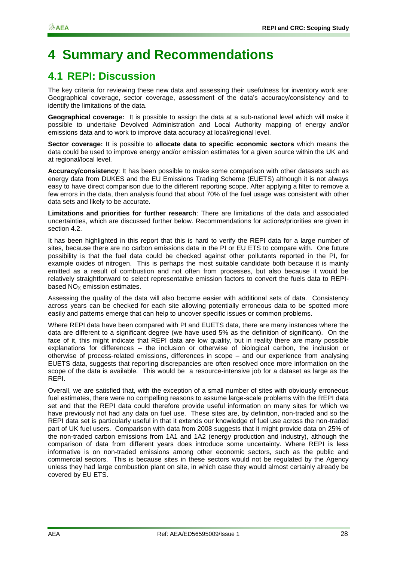# <span id="page-31-0"></span>**4 Summary and Recommendations**

## <span id="page-31-1"></span>**4.1 REPI: Discussion**

The key criteria for reviewing these new data and assessing their usefulness for inventory work are: Geographical coverage, sector coverage, assessment of the data"s accuracy/consistency and to identify the limitations of the data.

**Geographical coverage:** It is possible to assign the data at a sub-national level which will make it possible to undertake Devolved Administration and Local Authority mapping of energy and/or emissions data and to work to improve data accuracy at local/regional level.

**Sector coverage:** It is possible to **allocate data to specific economic sectors** which means the data could be used to improve energy and/or emission estimates for a given source within the UK and at regional/local level.

**Accuracy/consistency**: It has been possible to make some comparison with other datasets such as energy data from DUKES and the EU Emissions Trading Scheme (EUETS) although it is not always easy to have direct comparison due to the different reporting scope. After applying a filter to remove a few errors in the data, then analysis found that about 70% of the fuel usage was consistent with other data sets and likely to be accurate.

**Limitations and priorities for further research**: There are limitations of the data and associated uncertainties, which are discussed further below. Recommendations for actions/priorities are given in section [4.2.](#page-32-0)

It has been highlighted in this report that this is hard to verify the REPI data for a large number of sites, because there are no carbon emissions data in the PI or EU ETS to compare with. One future possibility is that the fuel data could be checked against other pollutants reported in the PI, for example oxides of nitrogen. This is perhaps the most suitable candidate both because it is mainly emitted as a result of combustion and not often from processes, but also because it would be relatively straightforward to select representative emission factors to convert the fuels data to REPIbased  $NO<sub>x</sub>$  emission estimates.

Assessing the quality of the data will also become easier with additional sets of data. Consistency across years can be checked for each site allowing potentially erroneous data to be spotted more easily and patterns emerge that can help to uncover specific issues or common problems.

Where REPI data have been compared with PI and EUETS data, there are many instances where the data are different to a significant degree (we have used 5% as the definition of significant). On the face of it, this might indicate that REPI data are low quality, but in reality there are many possible explanations for differences – the inclusion or otherwise of biological carbon, the inclusion or otherwise of process-related emissions, differences in scope – and our experience from analysing EUETS data, suggests that reporting discrepancies are often resolved once more information on the scope of the data is available. This would be a resource-intensive job for a dataset as large as the REPI.

Overall, we are satisfied that, with the exception of a small number of sites with obviously erroneous fuel estimates, there were no compelling reasons to assume large-scale problems with the REPI data set and that the REPI data could therefore provide useful information on many sites for which we have previously not had any data on fuel use. These sites are, by definition, non-traded and so the REPI data set is particularly useful in that it extends our knowledge of fuel use across the non-traded part of UK fuel users. Comparison with data from 2008 suggests that it might provide data on 25% of the non-traded carbon emissions from 1A1 and 1A2 (energy production and industry), although the comparison of data from different years does introduce some uncertainty. Where REPI is less informative is on non-traded emissions among other economic sectors, such as the public and commercial sectors. This is because sites in these sectors would not be regulated by the Agency unless they had large combustion plant on site, in which case they would almost certainly already be covered by EU ETS.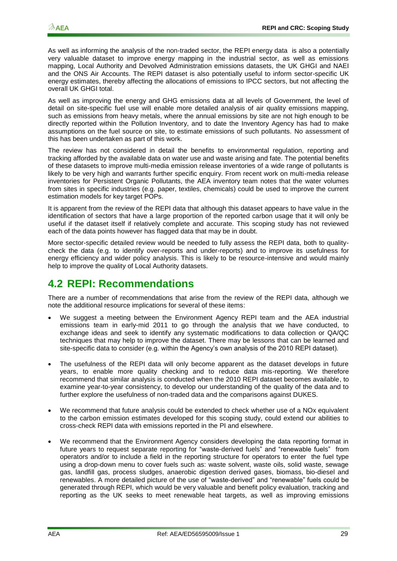As well as informing the analysis of the non-traded sector, the REPI energy data is also a potentially very valuable dataset to improve energy mapping in the industrial sector, as well as emissions mapping, Local Authority and Devolved Administration emissions datasets, the UK GHGI and NAEI and the ONS Air Accounts. The REPI dataset is also potentially useful to inform sector-specific UK energy estimates, thereby affecting the allocations of emissions to IPCC sectors, but not affecting the overall UK GHGI total.

As well as improving the energy and GHG emissions data at all levels of Government, the level of detail on site-specific fuel use will enable more detailed analysis of air quality emissions mapping, such as emissions from heavy metals, where the annual emissions by site are not high enough to be directly reported within the Pollution Inventory, and to date the Inventory Agency has had to make assumptions on the fuel source on site, to estimate emissions of such pollutants. No assessment of this has been undertaken as part of this work.

The review has not considered in detail the benefits to environmental regulation, reporting and tracking afforded by the available data on water use and waste arising and fate. The potential benefits of these datasets to improve multi-media emission release inventories of a wide range of pollutants is likely to be very high and warrants further specific enquiry. From recent work on multi-media release inventories for Persistent Organic Pollutants, the AEA inventory team notes that the water volumes from sites in specific industries (e.g. paper, textiles, chemicals) could be used to improve the current estimation models for key target POPs.

It is apparent from the review of the REPI data that although this dataset appears to have value in the identification of sectors that have a large proportion of the reported carbon usage that it will only be useful if the dataset itself if relatively complete and accurate. This scoping study has not reviewed each of the data points however has flagged data that may be in doubt.

More sector-specific detailed review would be needed to fully assess the REPI data, both to qualitycheck the data (e.g. to identify over-reports and under-reports) and to improve its usefulness for energy efficiency and wider policy analysis. This is likely to be resource-intensive and would mainly help to improve the quality of Local Authority datasets.

### <span id="page-32-0"></span>**4.2 REPI: Recommendations**

There are a number of recommendations that arise from the review of the REPI data, although we note the additional resource implications for several of these items:

- We suggest a meeting between the Environment Agency REPI team and the AEA industrial emissions team in early-mid 2011 to go through the analysis that we have conducted, to exchange ideas and seek to identify any systematic modifications to data collection or QA/QC techniques that may help to improve the dataset. There may be lessons that can be learned and site-specific data to consider (e.g. within the Agency"s own analysis of the 2010 REPI dataset).
- The usefulness of the REPI data will only become apparent as the dataset develops in future years, to enable more quality checking and to reduce data mis-reporting. We therefore recommend that similar analysis is conducted when the 2010 REPI dataset becomes available, to examine year-to-year consistency, to develop our understanding of the quality of the data and to further explore the usefulness of non-traded data and the comparisons against DUKES.
- We recommend that future analysis could be extended to check whether use of a NOx equivalent to the carbon emission estimates developed for this scoping study, could extend our abilities to cross-check REPI data with emissions reported in the PI and elsewhere.
- We recommend that the Environment Agency considers developing the data reporting format in future years to request separate reporting for "waste-derived fuels" and "renewable fuels" from operators and/or to include a field in the reporting structure for operators to enter the fuel type using a drop-down menu to cover fuels such as: waste solvent, waste oils, solid waste, sewage gas, landfill gas, process sludges, anaerobic digestion derived gases, biomass, bio-diesel and renewables. A more detailed picture of the use of "waste-derived" and "renewable" fuels could be generated through REPI, which would be very valuable and benefit policy evaluation, tracking and reporting as the UK seeks to meet renewable heat targets, as well as improving emissions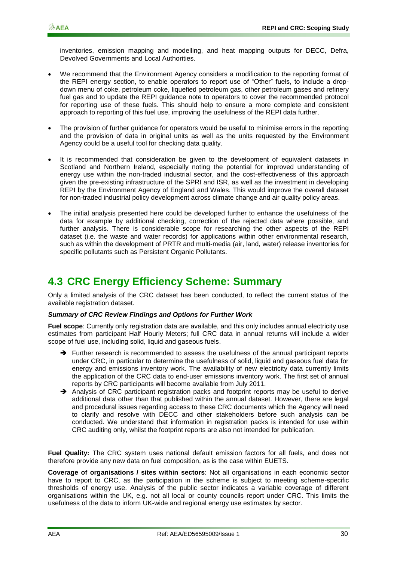inventories, emission mapping and modelling, and heat mapping outputs for DECC, Defra, Devolved Governments and Local Authorities.

- We recommend that the Environment Agency considers a modification to the reporting format of the REPI energy section, to enable operators to report use of "Other" fuels, to include a dropdown menu of coke, petroleum coke, liquefied petroleum gas, other petroleum gases and refinery fuel gas and to update the REPI guidance note to operators to cover the recommended protocol for reporting use of these fuels. This should help to ensure a more complete and consistent approach to reporting of this fuel use, improving the usefulness of the REPI data further.
- The provision of further guidance for operators would be useful to minimise errors in the reporting and the provision of data in original units as well as the units requested by the Environment Agency could be a useful tool for checking data quality.
- It is recommended that consideration be given to the development of equivalent datasets in Scotland and Northern Ireland, especially noting the potential for improved understanding of energy use within the non-traded industrial sector, and the cost-effectiveness of this approach given the pre-existing infrastructure of the SPRI and ISR, as well as the investment in developing REPI by the Environment Agency of England and Wales. This would improve the overall dataset for non-traded industrial policy development across climate change and air quality policy areas.
- The initial analysis presented here could be developed further to enhance the usefulness of the data for example by additional checking, correction of the rejected data where possible, and further analysis. There is considerable scope for researching the other aspects of the REPI dataset (i.e. the waste and water records) for applications within other environmental research, such as within the development of PRTR and multi-media (air, land, water) release inventories for specific pollutants such as Persistent Organic Pollutants.

### <span id="page-33-0"></span>**4.3 CRC Energy Efficiency Scheme: Summary**

Only a limited analysis of the CRC dataset has been conducted, to reflect the current status of the available registration dataset.

#### *Summary of CRC Review Findings and Options for Further Work*

**Fuel scope**: Currently only registration data are available, and this only includes annual electricity use estimates from participant Half Hourly Meters; full CRC data in annual returns will include a wider scope of fuel use, including solid, liquid and gaseous fuels.

- → Further research is recommended to assess the usefulness of the annual participant reports under CRC, in particular to determine the usefulness of solid, liquid and gaseous fuel data for energy and emissions inventory work. The availability of new electricity data currently limits the application of the CRC data to end-user emissions inventory work. The first set of annual reports by CRC participants will become available from July 2011.
- $\rightarrow$  Analysis of CRC participant registration packs and footprint reports may be useful to derive additional data other than that published within the annual dataset. However, there are legal and procedural issues regarding access to these CRC documents which the Agency will need to clarify and resolve with DECC and other stakeholders before such analysis can be conducted. We understand that information in registration packs is intended for use within CRC auditing only, whilst the footprint reports are also not intended for publication.

**Fuel Quality:** The CRC system uses national default emission factors for all fuels, and does not therefore provide any new data on fuel composition, as is the case within EUETS.

**Coverage of organisations / sites within sectors**: Not all organisations in each economic sector have to report to CRC, as the participation in the scheme is subject to meeting scheme-specific thresholds of energy use. Analysis of the public sector indicates a variable coverage of different organisations within the UK, e.g. not all local or county councils report under CRC. This limits the usefulness of the data to inform UK-wide and regional energy use estimates by sector.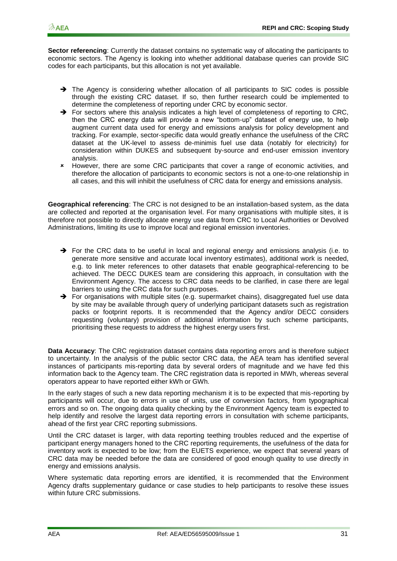**Sector referencing**: Currently the dataset contains no systematic way of allocating the participants to economic sectors. The Agency is looking into whether additional database queries can provide SIC codes for each participants, but this allocation is not yet available.

- $\rightarrow$  The Agency is considering whether allocation of all participants to SIC codes is possible through the existing CRC dataset. If so, then further research could be implemented to determine the completeness of reporting under CRC by economic sector.
- $\rightarrow$  For sectors where this analysis indicates a high level of completeness of reporting to CRC. then the CRC energy data will provide a new "bottom-up" dataset of energy use, to help augment current data used for energy and emissions analysis for policy development and tracking. For example, sector-specific data would greatly enhance the usefulness of the CRC dataset at the UK-level to assess de-minimis fuel use data (notably for electricity) for consideration within DUKES and subsequent by-source and end-user emission inventory analysis.
- However, there are some CRC participants that cover a range of economic activities, and therefore the allocation of participants to economic sectors is not a one-to-one relationship in all cases, and this will inhibit the usefulness of CRC data for energy and emissions analysis.

**Geographical referencing**: The CRC is not designed to be an installation-based system, as the data are collected and reported at the organisation level. For many organisations with multiple sites, it is therefore not possible to directly allocate energy use data from CRC to Local Authorities or Devolved Administrations, limiting its use to improve local and regional emission inventories.

- $\rightarrow$  For the CRC data to be useful in local and regional energy and emissions analysis (i.e. to generate more sensitive and accurate local inventory estimates), additional work is needed, e.g. to link meter references to other datasets that enable geographical-referencing to be achieved. The DECC DUKES team are considering this approach, in consultation with the Environment Agency. The access to CRC data needs to be clarified, in case there are legal barriers to using the CRC data for such purposes.
- $\rightarrow$  For organisations with multiple sites (e.g. supermarket chains), disaggregated fuel use data by site may be available through query of underlying participant datasets such as registration packs or footprint reports. It is recommended that the Agency and/or DECC considers requesting (voluntary) provision of additional information by such scheme participants, prioritising these requests to address the highest energy users first.

**Data Accuracy**: The CRC registration dataset contains data reporting errors and is therefore subject to uncertainty. In the analysis of the public sector CRC data, the AEA team has identified several instances of participants mis-reporting data by several orders of magnitude and we have fed this information back to the Agency team. The CRC registration data is reported in MWh, whereas several operators appear to have reported either kWh or GWh.

In the early stages of such a new data reporting mechanism it is to be expected that mis-reporting by participants will occur, due to errors in use of units, use of conversion factors, from typographical errors and so on. The ongoing data quality checking by the Environment Agency team is expected to help identify and resolve the largest data reporting errors in consultation with scheme participants, ahead of the first year CRC reporting submissions.

Until the CRC dataset is larger, with data reporting teething troubles reduced and the expertise of participant energy managers honed to the CRC reporting requirements, the usefulness of the data for inventory work is expected to be low; from the EUETS experience, we expect that several years of CRC data may be needed before the data are considered of good enough quality to use directly in energy and emissions analysis.

Where systematic data reporting errors are identified, it is recommended that the Environment Agency drafts supplementary guidance or case studies to help participants to resolve these issues within future CRC submissions.